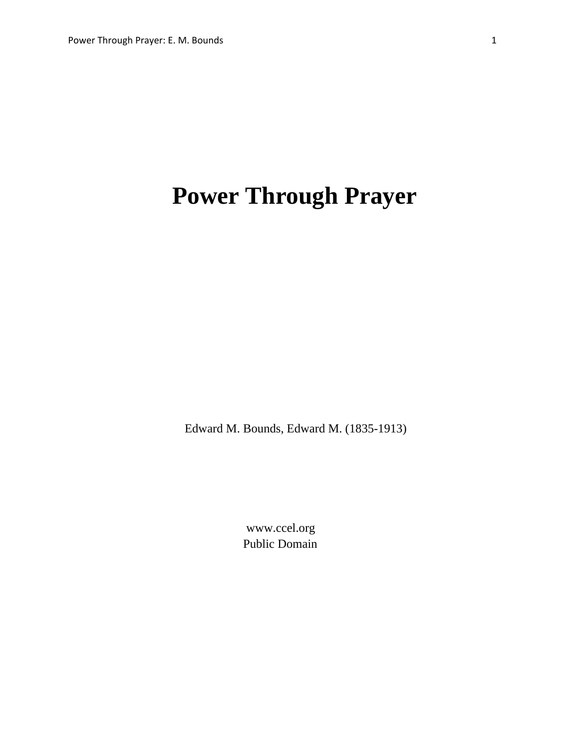# **Power Through Prayer**

Edward M. Bounds, Edward M. (1835-1913)

 www.ccel.org Public Domain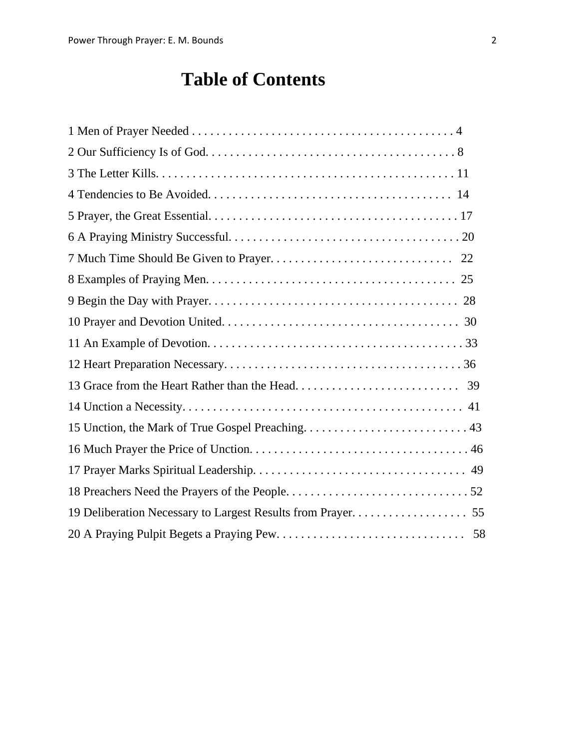# **Table of Contents**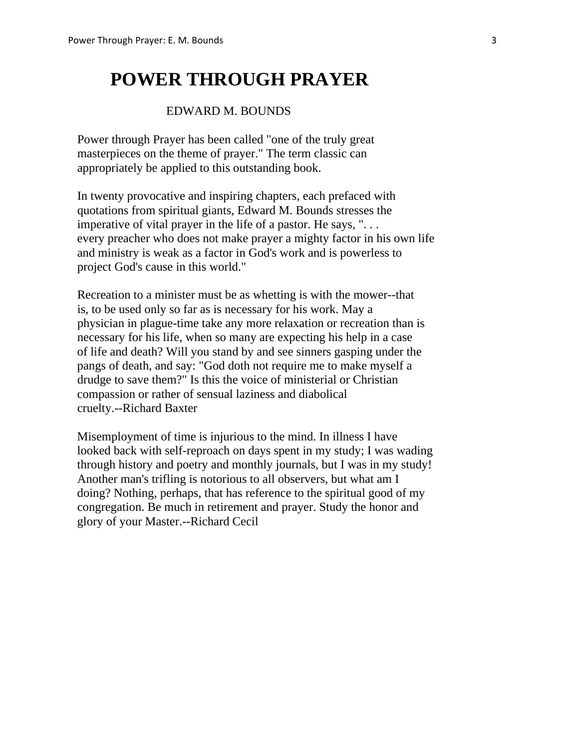# **POWER THROUGH PRAYER**

### EDWARD M. BOUNDS

 Power through Prayer has been called "one of the truly great masterpieces on the theme of prayer." The term classic can appropriately be applied to this outstanding book.

 In twenty provocative and inspiring chapters, each prefaced with quotations from spiritual giants, Edward M. Bounds stresses the imperative of vital prayer in the life of a pastor. He says, ". . . every preacher who does not make prayer a mighty factor in his own life and ministry is weak as a factor in God's work and is powerless to project God's cause in this world."

 Recreation to a minister must be as whetting is with the mower--that is, to be used only so far as is necessary for his work. May a physician in plague-time take any more relaxation or recreation than is necessary for his life, when so many are expecting his help in a case of life and death? Will you stand by and see sinners gasping under the pangs of death, and say: "God doth not require me to make myself a drudge to save them?" Is this the voice of ministerial or Christian compassion or rather of sensual laziness and diabolical cruelty.--Richard Baxter

 Misemployment of time is injurious to the mind. In illness I have looked back with self-reproach on days spent in my study; I was wading through history and poetry and monthly journals, but I was in my study! Another man's trifling is notorious to all observers, but what am I doing? Nothing, perhaps, that has reference to the spiritual good of my congregation. Be much in retirement and prayer. Study the honor and glory of your Master.--Richard Cecil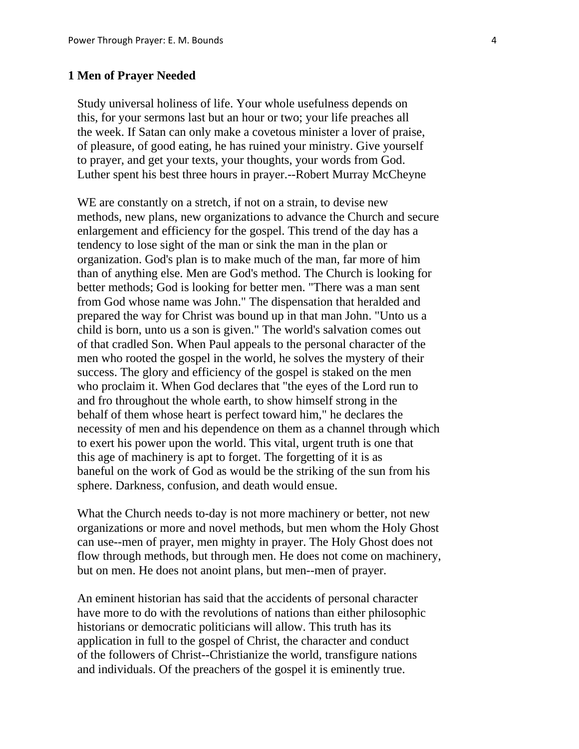#### **1 Men of Prayer Needed**

 Study universal holiness of life. Your whole usefulness depends on this, for your sermons last but an hour or two; your life preaches all the week. If Satan can only make a covetous minister a lover of praise, of pleasure, of good eating, he has ruined your ministry. Give yourself to prayer, and get your texts, your thoughts, your words from God. Luther spent his best three hours in prayer.--Robert Murray McCheyne

WE are constantly on a stretch, if not on a strain, to devise new methods, new plans, new organizations to advance the Church and secure enlargement and efficiency for the gospel. This trend of the day has a tendency to lose sight of the man or sink the man in the plan or organization. God's plan is to make much of the man, far more of him than of anything else. Men are God's method. The Church is looking for better methods; God is looking for better men. "There was a man sent from God whose name was John." The dispensation that heralded and prepared the way for Christ was bound up in that man John. "Unto us a child is born, unto us a son is given." The world's salvation comes out of that cradled Son. When Paul appeals to the personal character of the men who rooted the gospel in the world, he solves the mystery of their success. The glory and efficiency of the gospel is staked on the men who proclaim it. When God declares that "the eyes of the Lord run to and fro throughout the whole earth, to show himself strong in the behalf of them whose heart is perfect toward him," he declares the necessity of men and his dependence on them as a channel through which to exert his power upon the world. This vital, urgent truth is one that this age of machinery is apt to forget. The forgetting of it is as baneful on the work of God as would be the striking of the sun from his sphere. Darkness, confusion, and death would ensue.

 What the Church needs to-day is not more machinery or better, not new organizations or more and novel methods, but men whom the Holy Ghost can use--men of prayer, men mighty in prayer. The Holy Ghost does not flow through methods, but through men. He does not come on machinery, but on men. He does not anoint plans, but men--men of prayer.

 An eminent historian has said that the accidents of personal character have more to do with the revolutions of nations than either philosophic historians or democratic politicians will allow. This truth has its application in full to the gospel of Christ, the character and conduct of the followers of Christ--Christianize the world, transfigure nations and individuals. Of the preachers of the gospel it is eminently true.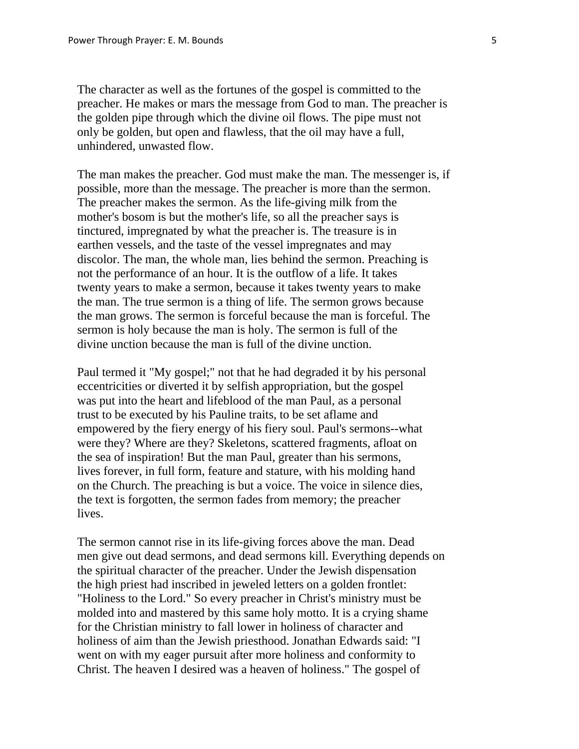The character as well as the fortunes of the gospel is committed to the preacher. He makes or mars the message from God to man. The preacher is the golden pipe through which the divine oil flows. The pipe must not only be golden, but open and flawless, that the oil may have a full, unhindered, unwasted flow.

 The man makes the preacher. God must make the man. The messenger is, if possible, more than the message. The preacher is more than the sermon. The preacher makes the sermon. As the life-giving milk from the mother's bosom is but the mother's life, so all the preacher says is tinctured, impregnated by what the preacher is. The treasure is in earthen vessels, and the taste of the vessel impregnates and may discolor. The man, the whole man, lies behind the sermon. Preaching is not the performance of an hour. It is the outflow of a life. It takes twenty years to make a sermon, because it takes twenty years to make the man. The true sermon is a thing of life. The sermon grows because the man grows. The sermon is forceful because the man is forceful. The sermon is holy because the man is holy. The sermon is full of the divine unction because the man is full of the divine unction.

 Paul termed it "My gospel;" not that he had degraded it by his personal eccentricities or diverted it by selfish appropriation, but the gospel was put into the heart and lifeblood of the man Paul, as a personal trust to be executed by his Pauline traits, to be set aflame and empowered by the fiery energy of his fiery soul. Paul's sermons--what were they? Where are they? Skeletons, scattered fragments, afloat on the sea of inspiration! But the man Paul, greater than his sermons, lives forever, in full form, feature and stature, with his molding hand on the Church. The preaching is but a voice. The voice in silence dies, the text is forgotten, the sermon fades from memory; the preacher lives.

 The sermon cannot rise in its life-giving forces above the man. Dead men give out dead sermons, and dead sermons kill. Everything depends on the spiritual character of the preacher. Under the Jewish dispensation the high priest had inscribed in jeweled letters on a golden frontlet: "Holiness to the Lord." So every preacher in Christ's ministry must be molded into and mastered by this same holy motto. It is a crying shame for the Christian ministry to fall lower in holiness of character and holiness of aim than the Jewish priesthood. Jonathan Edwards said: "I went on with my eager pursuit after more holiness and conformity to Christ. The heaven I desired was a heaven of holiness." The gospel of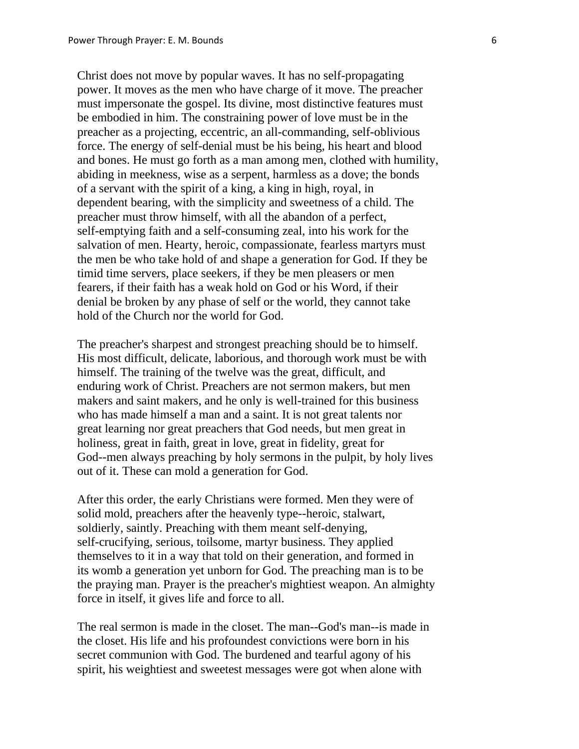Christ does not move by popular waves. It has no self-propagating power. It moves as the men who have charge of it move. The preacher must impersonate the gospel. Its divine, most distinctive features must be embodied in him. The constraining power of love must be in the preacher as a projecting, eccentric, an all-commanding, self-oblivious force. The energy of self-denial must be his being, his heart and blood and bones. He must go forth as a man among men, clothed with humility, abiding in meekness, wise as a serpent, harmless as a dove; the bonds of a servant with the spirit of a king, a king in high, royal, in dependent bearing, with the simplicity and sweetness of a child. The preacher must throw himself, with all the abandon of a perfect, self-emptying faith and a self-consuming zeal, into his work for the salvation of men. Hearty, heroic, compassionate, fearless martyrs must the men be who take hold of and shape a generation for God. If they be timid time servers, place seekers, if they be men pleasers or men fearers, if their faith has a weak hold on God or his Word, if their denial be broken by any phase of self or the world, they cannot take hold of the Church nor the world for God.

 The preacher's sharpest and strongest preaching should be to himself. His most difficult, delicate, laborious, and thorough work must be with himself. The training of the twelve was the great, difficult, and enduring work of Christ. Preachers are not sermon makers, but men makers and saint makers, and he only is well-trained for this business who has made himself a man and a saint. It is not great talents nor great learning nor great preachers that God needs, but men great in holiness, great in faith, great in love, great in fidelity, great for God--men always preaching by holy sermons in the pulpit, by holy lives out of it. These can mold a generation for God.

 After this order, the early Christians were formed. Men they were of solid mold, preachers after the heavenly type--heroic, stalwart, soldierly, saintly. Preaching with them meant self-denying, self-crucifying, serious, toilsome, martyr business. They applied themselves to it in a way that told on their generation, and formed in its womb a generation yet unborn for God. The preaching man is to be the praying man. Prayer is the preacher's mightiest weapon. An almighty force in itself, it gives life and force to all.

 The real sermon is made in the closet. The man--God's man--is made in the closet. His life and his profoundest convictions were born in his secret communion with God. The burdened and tearful agony of his spirit, his weightiest and sweetest messages were got when alone with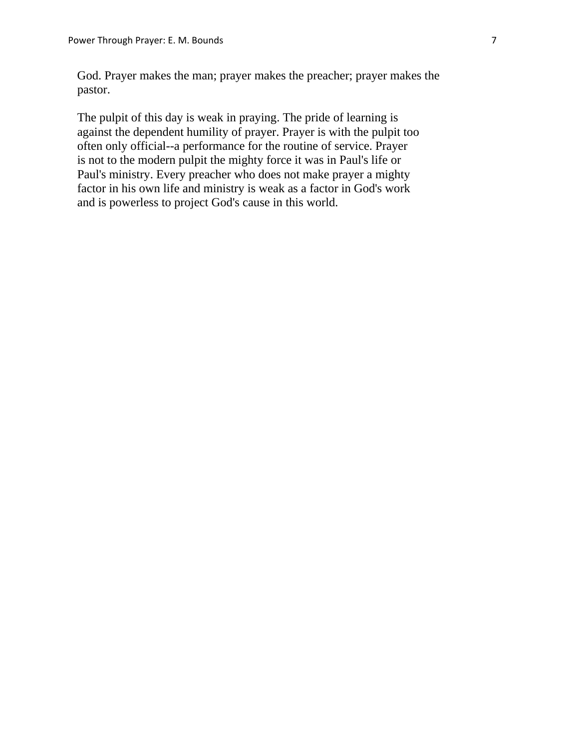God. Prayer makes the man; prayer makes the preacher; prayer makes the pastor.

 The pulpit of this day is weak in praying. The pride of learning is against the dependent humility of prayer. Prayer is with the pulpit too often only official--a performance for the routine of service. Prayer is not to the modern pulpit the mighty force it was in Paul's life or Paul's ministry. Every preacher who does not make prayer a mighty factor in his own life and ministry is weak as a factor in God's work and is powerless to project God's cause in this world.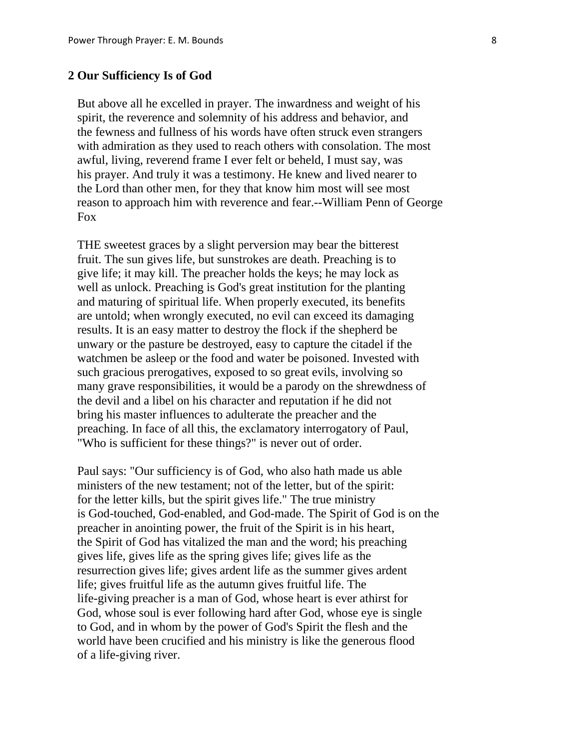#### **2 Our Sufficiency Is of God**

 But above all he excelled in prayer. The inwardness and weight of his spirit, the reverence and solemnity of his address and behavior, and the fewness and fullness of his words have often struck even strangers with admiration as they used to reach others with consolation. The most awful, living, reverend frame I ever felt or beheld, I must say, was his prayer. And truly it was a testimony. He knew and lived nearer to the Lord than other men, for they that know him most will see most reason to approach him with reverence and fear.--William Penn of George Fox

 THE sweetest graces by a slight perversion may bear the bitterest fruit. The sun gives life, but sunstrokes are death. Preaching is to give life; it may kill. The preacher holds the keys; he may lock as well as unlock. Preaching is God's great institution for the planting and maturing of spiritual life. When properly executed, its benefits are untold; when wrongly executed, no evil can exceed its damaging results. It is an easy matter to destroy the flock if the shepherd be unwary or the pasture be destroyed, easy to capture the citadel if the watchmen be asleep or the food and water be poisoned. Invested with such gracious prerogatives, exposed to so great evils, involving so many grave responsibilities, it would be a parody on the shrewdness of the devil and a libel on his character and reputation if he did not bring his master influences to adulterate the preacher and the preaching. In face of all this, the exclamatory interrogatory of Paul, "Who is sufficient for these things?" is never out of order.

 Paul says: "Our sufficiency is of God, who also hath made us able ministers of the new testament; not of the letter, but of the spirit: for the letter kills, but the spirit gives life." The true ministry is God-touched, God-enabled, and God-made. The Spirit of God is on the preacher in anointing power, the fruit of the Spirit is in his heart, the Spirit of God has vitalized the man and the word; his preaching gives life, gives life as the spring gives life; gives life as the resurrection gives life; gives ardent life as the summer gives ardent life; gives fruitful life as the autumn gives fruitful life. The life-giving preacher is a man of God, whose heart is ever athirst for God, whose soul is ever following hard after God, whose eye is single to God, and in whom by the power of God's Spirit the flesh and the world have been crucified and his ministry is like the generous flood of a life-giving river.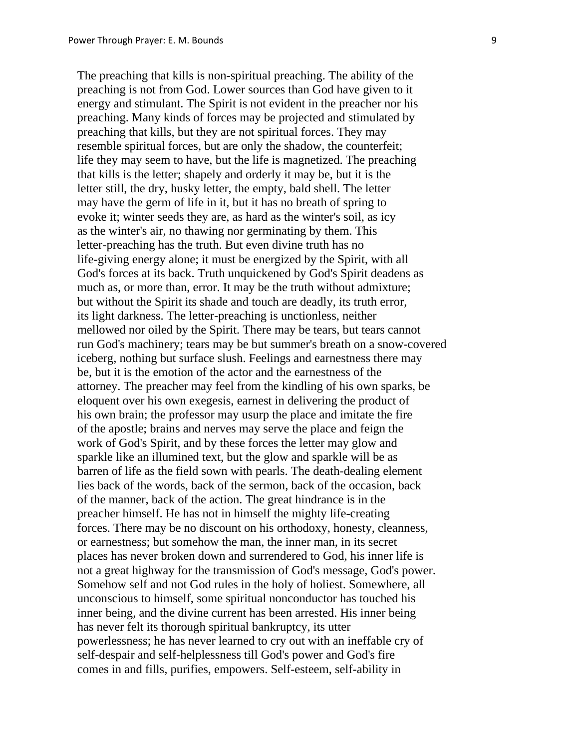The preaching that kills is non-spiritual preaching. The ability of the preaching is not from God. Lower sources than God have given to it energy and stimulant. The Spirit is not evident in the preacher nor his preaching. Many kinds of forces may be projected and stimulated by preaching that kills, but they are not spiritual forces. They may resemble spiritual forces, but are only the shadow, the counterfeit; life they may seem to have, but the life is magnetized. The preaching that kills is the letter; shapely and orderly it may be, but it is the letter still, the dry, husky letter, the empty, bald shell. The letter may have the germ of life in it, but it has no breath of spring to evoke it; winter seeds they are, as hard as the winter's soil, as icy as the winter's air, no thawing nor germinating by them. This letter-preaching has the truth. But even divine truth has no life-giving energy alone; it must be energized by the Spirit, with all God's forces at its back. Truth unquickened by God's Spirit deadens as much as, or more than, error. It may be the truth without admixture; but without the Spirit its shade and touch are deadly, its truth error, its light darkness. The letter-preaching is unctionless, neither mellowed nor oiled by the Spirit. There may be tears, but tears cannot run God's machinery; tears may be but summer's breath on a snow-covered iceberg, nothing but surface slush. Feelings and earnestness there may be, but it is the emotion of the actor and the earnestness of the attorney. The preacher may feel from the kindling of his own sparks, be eloquent over his own exegesis, earnest in delivering the product of his own brain; the professor may usurp the place and imitate the fire of the apostle; brains and nerves may serve the place and feign the work of God's Spirit, and by these forces the letter may glow and sparkle like an illumined text, but the glow and sparkle will be as barren of life as the field sown with pearls. The death-dealing element lies back of the words, back of the sermon, back of the occasion, back of the manner, back of the action. The great hindrance is in the preacher himself. He has not in himself the mighty life-creating forces. There may be no discount on his orthodoxy, honesty, cleanness, or earnestness; but somehow the man, the inner man, in its secret places has never broken down and surrendered to God, his inner life is not a great highway for the transmission of God's message, God's power. Somehow self and not God rules in the holy of holiest. Somewhere, all unconscious to himself, some spiritual nonconductor has touched his inner being, and the divine current has been arrested. His inner being has never felt its thorough spiritual bankruptcy, its utter powerlessness; he has never learned to cry out with an ineffable cry of self-despair and self-helplessness till God's power and God's fire comes in and fills, purifies, empowers. Self-esteem, self-ability in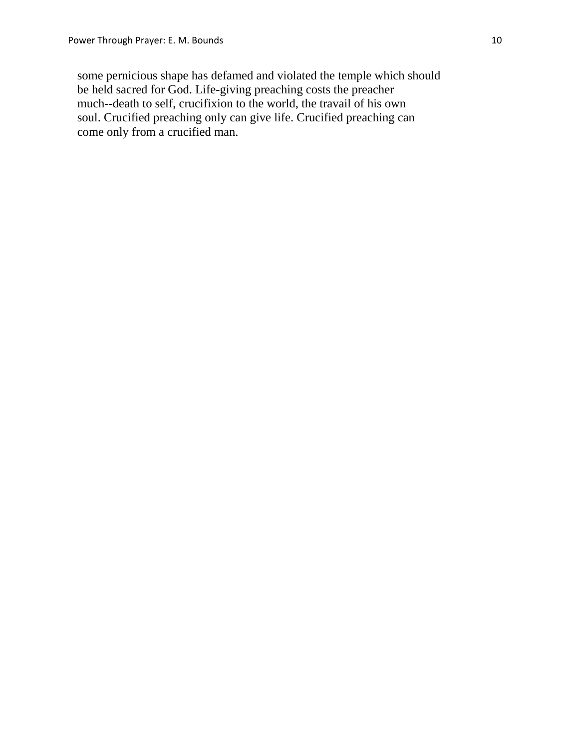some pernicious shape has defamed and violated the temple which should be held sacred for God. Life-giving preaching costs the preacher much--death to self, crucifixion to the world, the travail of his own soul. Crucified preaching only can give life. Crucified preaching can come only from a crucified man.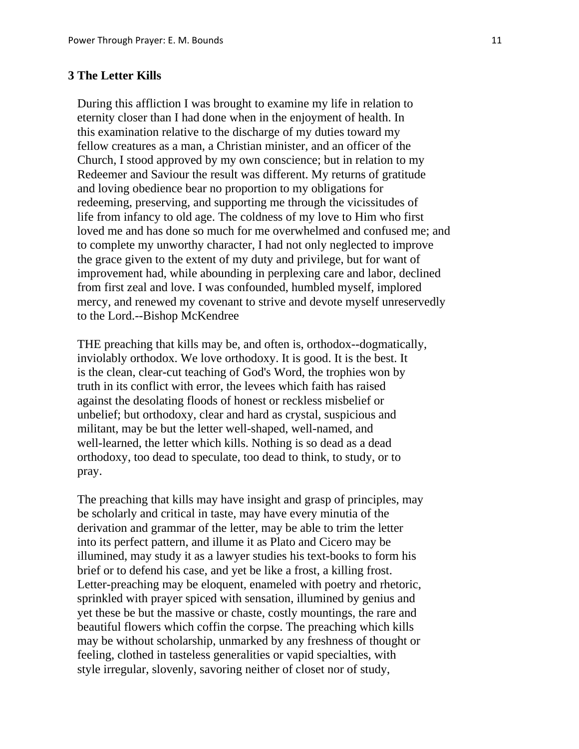# **3 The Letter Kills**

 During this affliction I was brought to examine my life in relation to eternity closer than I had done when in the enjoyment of health. In this examination relative to the discharge of my duties toward my fellow creatures as a man, a Christian minister, and an officer of the Church, I stood approved by my own conscience; but in relation to my Redeemer and Saviour the result was different. My returns of gratitude and loving obedience bear no proportion to my obligations for redeeming, preserving, and supporting me through the vicissitudes of life from infancy to old age. The coldness of my love to Him who first loved me and has done so much for me overwhelmed and confused me; and to complete my unworthy character, I had not only neglected to improve the grace given to the extent of my duty and privilege, but for want of improvement had, while abounding in perplexing care and labor, declined from first zeal and love. I was confounded, humbled myself, implored mercy, and renewed my covenant to strive and devote myself unreservedly to the Lord.--Bishop McKendree

 THE preaching that kills may be, and often is, orthodox--dogmatically, inviolably orthodox. We love orthodoxy. It is good. It is the best. It is the clean, clear-cut teaching of God's Word, the trophies won by truth in its conflict with error, the levees which faith has raised against the desolating floods of honest or reckless misbelief or unbelief; but orthodoxy, clear and hard as crystal, suspicious and militant, may be but the letter well-shaped, well-named, and well-learned, the letter which kills. Nothing is so dead as a dead orthodoxy, too dead to speculate, too dead to think, to study, or to pray.

 The preaching that kills may have insight and grasp of principles, may be scholarly and critical in taste, may have every minutia of the derivation and grammar of the letter, may be able to trim the letter into its perfect pattern, and illume it as Plato and Cicero may be illumined, may study it as a lawyer studies his text-books to form his brief or to defend his case, and yet be like a frost, a killing frost. Letter-preaching may be eloquent, enameled with poetry and rhetoric, sprinkled with prayer spiced with sensation, illumined by genius and yet these be but the massive or chaste, costly mountings, the rare and beautiful flowers which coffin the corpse. The preaching which kills may be without scholarship, unmarked by any freshness of thought or feeling, clothed in tasteless generalities or vapid specialties, with style irregular, slovenly, savoring neither of closet nor of study,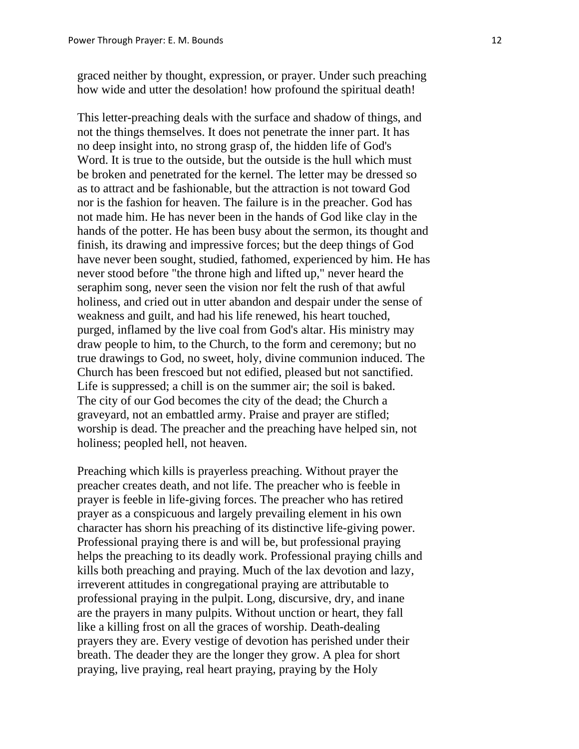graced neither by thought, expression, or prayer. Under such preaching how wide and utter the desolation! how profound the spiritual death!

 This letter-preaching deals with the surface and shadow of things, and not the things themselves. It does not penetrate the inner part. It has no deep insight into, no strong grasp of, the hidden life of God's Word. It is true to the outside, but the outside is the hull which must be broken and penetrated for the kernel. The letter may be dressed so as to attract and be fashionable, but the attraction is not toward God nor is the fashion for heaven. The failure is in the preacher. God has not made him. He has never been in the hands of God like clay in the hands of the potter. He has been busy about the sermon, its thought and finish, its drawing and impressive forces; but the deep things of God have never been sought, studied, fathomed, experienced by him. He has never stood before "the throne high and lifted up," never heard the seraphim song, never seen the vision nor felt the rush of that awful holiness, and cried out in utter abandon and despair under the sense of weakness and guilt, and had his life renewed, his heart touched, purged, inflamed by the live coal from God's altar. His ministry may draw people to him, to the Church, to the form and ceremony; but no true drawings to God, no sweet, holy, divine communion induced. The Church has been frescoed but not edified, pleased but not sanctified. Life is suppressed; a chill is on the summer air; the soil is baked. The city of our God becomes the city of the dead; the Church a graveyard, not an embattled army. Praise and prayer are stifled; worship is dead. The preacher and the preaching have helped sin, not holiness; peopled hell, not heaven.

 Preaching which kills is prayerless preaching. Without prayer the preacher creates death, and not life. The preacher who is feeble in prayer is feeble in life-giving forces. The preacher who has retired prayer as a conspicuous and largely prevailing element in his own character has shorn his preaching of its distinctive life-giving power. Professional praying there is and will be, but professional praying helps the preaching to its deadly work. Professional praying chills and kills both preaching and praying. Much of the lax devotion and lazy, irreverent attitudes in congregational praying are attributable to professional praying in the pulpit. Long, discursive, dry, and inane are the prayers in many pulpits. Without unction or heart, they fall like a killing frost on all the graces of worship. Death-dealing prayers they are. Every vestige of devotion has perished under their breath. The deader they are the longer they grow. A plea for short praying, live praying, real heart praying, praying by the Holy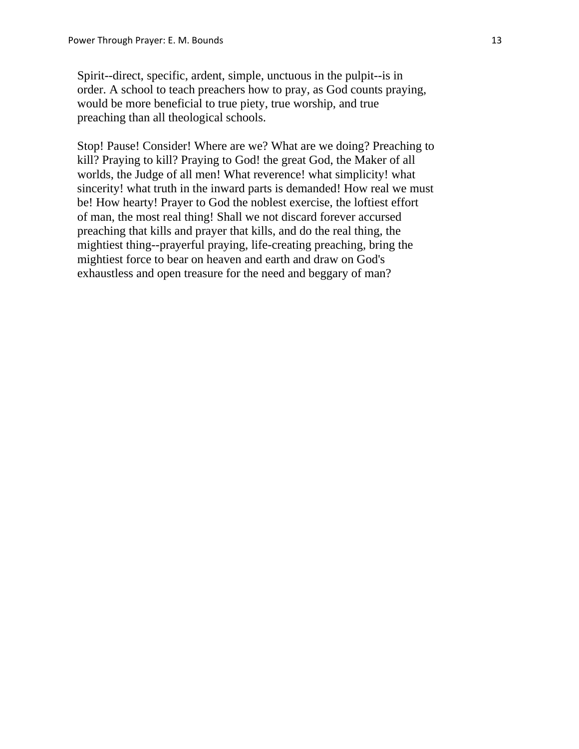Spirit--direct, specific, ardent, simple, unctuous in the pulpit--is in order. A school to teach preachers how to pray, as God counts praying, would be more beneficial to true piety, true worship, and true preaching than all theological schools.

 Stop! Pause! Consider! Where are we? What are we doing? Preaching to kill? Praying to kill? Praying to God! the great God, the Maker of all worlds, the Judge of all men! What reverence! what simplicity! what sincerity! what truth in the inward parts is demanded! How real we must be! How hearty! Prayer to God the noblest exercise, the loftiest effort of man, the most real thing! Shall we not discard forever accursed preaching that kills and prayer that kills, and do the real thing, the mightiest thing--prayerful praying, life-creating preaching, bring the mightiest force to bear on heaven and earth and draw on God's exhaustless and open treasure for the need and beggary of man?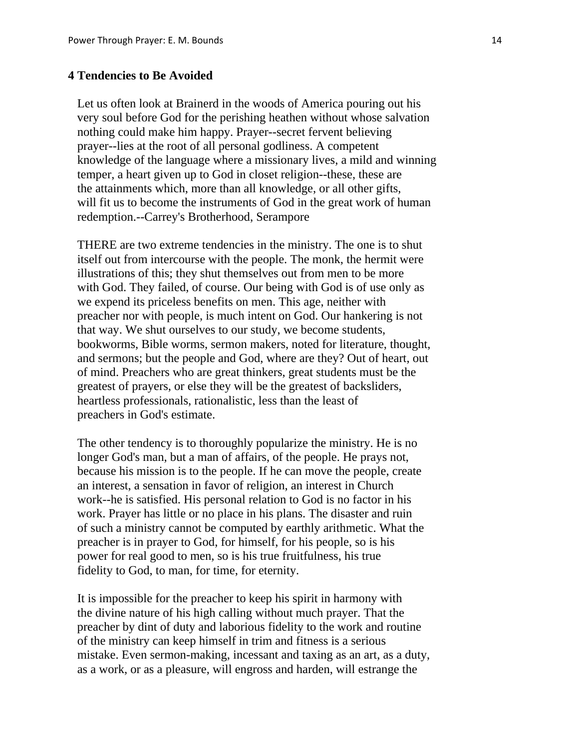# **4 Tendencies to Be Avoided**

 Let us often look at Brainerd in the woods of America pouring out his very soul before God for the perishing heathen without whose salvation nothing could make him happy. Prayer--secret fervent believing prayer--lies at the root of all personal godliness. A competent knowledge of the language where a missionary lives, a mild and winning temper, a heart given up to God in closet religion--these, these are the attainments which, more than all knowledge, or all other gifts, will fit us to become the instruments of God in the great work of human redemption.--Carrey's Brotherhood, Serampore

 THERE are two extreme tendencies in the ministry. The one is to shut itself out from intercourse with the people. The monk, the hermit were illustrations of this; they shut themselves out from men to be more with God. They failed, of course. Our being with God is of use only as we expend its priceless benefits on men. This age, neither with preacher nor with people, is much intent on God. Our hankering is not that way. We shut ourselves to our study, we become students, bookworms, Bible worms, sermon makers, noted for literature, thought, and sermons; but the people and God, where are they? Out of heart, out of mind. Preachers who are great thinkers, great students must be the greatest of prayers, or else they will be the greatest of backsliders, heartless professionals, rationalistic, less than the least of preachers in God's estimate.

 The other tendency is to thoroughly popularize the ministry. He is no longer God's man, but a man of affairs, of the people. He prays not, because his mission is to the people. If he can move the people, create an interest, a sensation in favor of religion, an interest in Church work--he is satisfied. His personal relation to God is no factor in his work. Prayer has little or no place in his plans. The disaster and ruin of such a ministry cannot be computed by earthly arithmetic. What the preacher is in prayer to God, for himself, for his people, so is his power for real good to men, so is his true fruitfulness, his true fidelity to God, to man, for time, for eternity.

 It is impossible for the preacher to keep his spirit in harmony with the divine nature of his high calling without much prayer. That the preacher by dint of duty and laborious fidelity to the work and routine of the ministry can keep himself in trim and fitness is a serious mistake. Even sermon-making, incessant and taxing as an art, as a duty, as a work, or as a pleasure, will engross and harden, will estrange the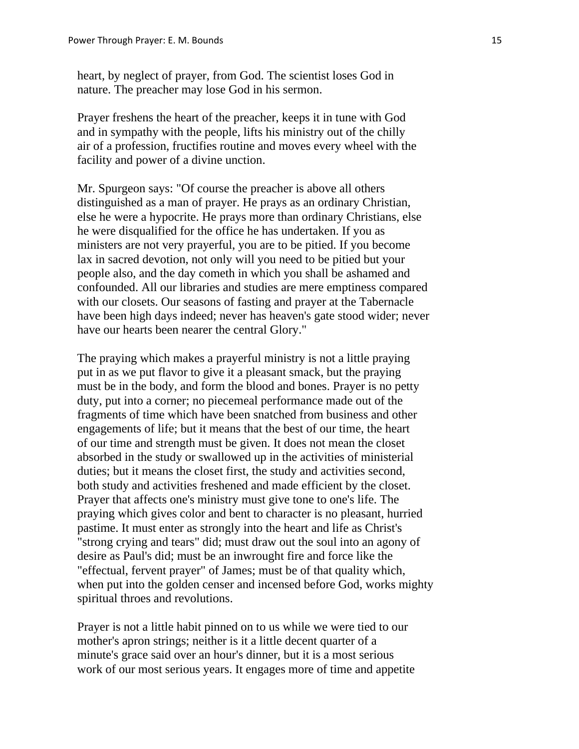heart, by neglect of prayer, from God. The scientist loses God in nature. The preacher may lose God in his sermon.

 Prayer freshens the heart of the preacher, keeps it in tune with God and in sympathy with the people, lifts his ministry out of the chilly air of a profession, fructifies routine and moves every wheel with the facility and power of a divine unction.

 Mr. Spurgeon says: "Of course the preacher is above all others distinguished as a man of prayer. He prays as an ordinary Christian, else he were a hypocrite. He prays more than ordinary Christians, else he were disqualified for the office he has undertaken. If you as ministers are not very prayerful, you are to be pitied. If you become lax in sacred devotion, not only will you need to be pitied but your people also, and the day cometh in which you shall be ashamed and confounded. All our libraries and studies are mere emptiness compared with our closets. Our seasons of fasting and prayer at the Tabernacle have been high days indeed; never has heaven's gate stood wider; never have our hearts been nearer the central Glory."

 The praying which makes a prayerful ministry is not a little praying put in as we put flavor to give it a pleasant smack, but the praying must be in the body, and form the blood and bones. Prayer is no petty duty, put into a corner; no piecemeal performance made out of the fragments of time which have been snatched from business and other engagements of life; but it means that the best of our time, the heart of our time and strength must be given. It does not mean the closet absorbed in the study or swallowed up in the activities of ministerial duties; but it means the closet first, the study and activities second, both study and activities freshened and made efficient by the closet. Prayer that affects one's ministry must give tone to one's life. The praying which gives color and bent to character is no pleasant, hurried pastime. It must enter as strongly into the heart and life as Christ's "strong crying and tears" did; must draw out the soul into an agony of desire as Paul's did; must be an inwrought fire and force like the "effectual, fervent prayer" of James; must be of that quality which, when put into the golden censer and incensed before God, works mighty spiritual throes and revolutions.

 Prayer is not a little habit pinned on to us while we were tied to our mother's apron strings; neither is it a little decent quarter of a minute's grace said over an hour's dinner, but it is a most serious work of our most serious years. It engages more of time and appetite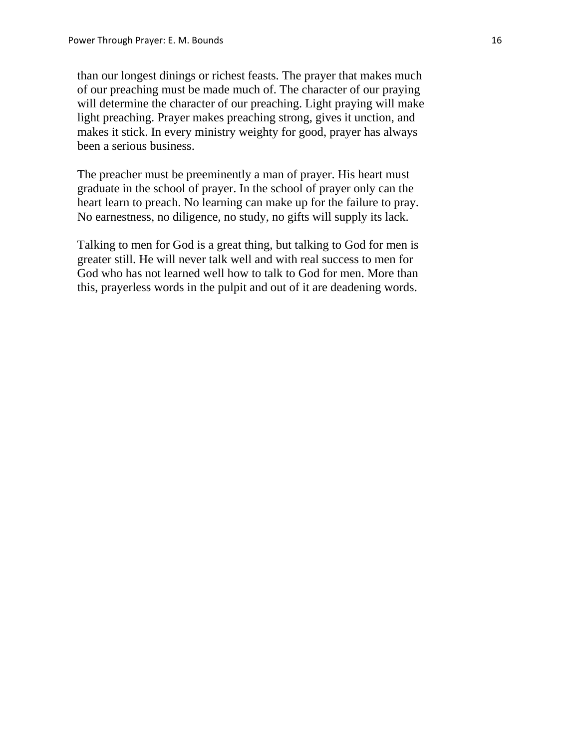than our longest dinings or richest feasts. The prayer that makes much of our preaching must be made much of. The character of our praying will determine the character of our preaching. Light praying will make light preaching. Prayer makes preaching strong, gives it unction, and makes it stick. In every ministry weighty for good, prayer has always been a serious business.

 The preacher must be preeminently a man of prayer. His heart must graduate in the school of prayer. In the school of prayer only can the heart learn to preach. No learning can make up for the failure to pray. No earnestness, no diligence, no study, no gifts will supply its lack.

 Talking to men for God is a great thing, but talking to God for men is greater still. He will never talk well and with real success to men for God who has not learned well how to talk to God for men. More than this, prayerless words in the pulpit and out of it are deadening words.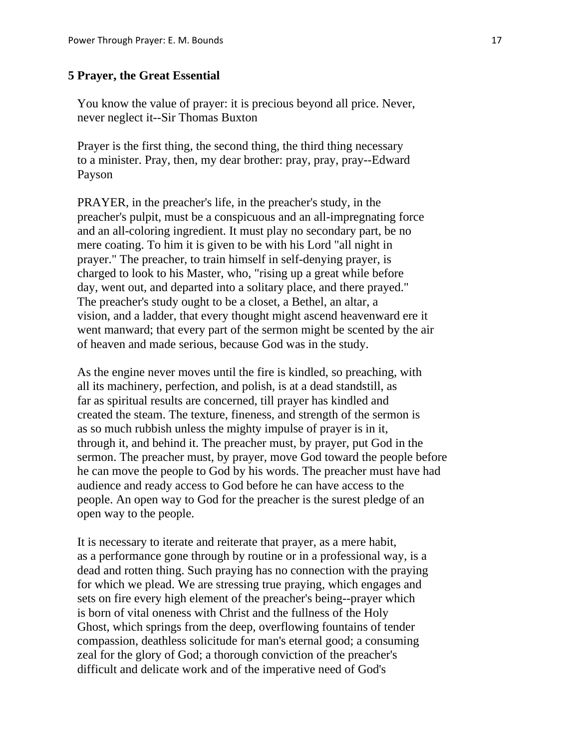#### **5 Prayer, the Great Essential**

 You know the value of prayer: it is precious beyond all price. Never, never neglect it--Sir Thomas Buxton

 Prayer is the first thing, the second thing, the third thing necessary to a minister. Pray, then, my dear brother: pray, pray, pray--Edward Payson

 PRAYER, in the preacher's life, in the preacher's study, in the preacher's pulpit, must be a conspicuous and an all-impregnating force and an all-coloring ingredient. It must play no secondary part, be no mere coating. To him it is given to be with his Lord "all night in prayer." The preacher, to train himself in self-denying prayer, is charged to look to his Master, who, "rising up a great while before day, went out, and departed into a solitary place, and there prayed." The preacher's study ought to be a closet, a Bethel, an altar, a vision, and a ladder, that every thought might ascend heavenward ere it went manward; that every part of the sermon might be scented by the air of heaven and made serious, because God was in the study.

 As the engine never moves until the fire is kindled, so preaching, with all its machinery, perfection, and polish, is at a dead standstill, as far as spiritual results are concerned, till prayer has kindled and created the steam. The texture, fineness, and strength of the sermon is as so much rubbish unless the mighty impulse of prayer is in it, through it, and behind it. The preacher must, by prayer, put God in the sermon. The preacher must, by prayer, move God toward the people before he can move the people to God by his words. The preacher must have had audience and ready access to God before he can have access to the people. An open way to God for the preacher is the surest pledge of an open way to the people.

 It is necessary to iterate and reiterate that prayer, as a mere habit, as a performance gone through by routine or in a professional way, is a dead and rotten thing. Such praying has no connection with the praying for which we plead. We are stressing true praying, which engages and sets on fire every high element of the preacher's being--prayer which is born of vital oneness with Christ and the fullness of the Holy Ghost, which springs from the deep, overflowing fountains of tender compassion, deathless solicitude for man's eternal good; a consuming zeal for the glory of God; a thorough conviction of the preacher's difficult and delicate work and of the imperative need of God's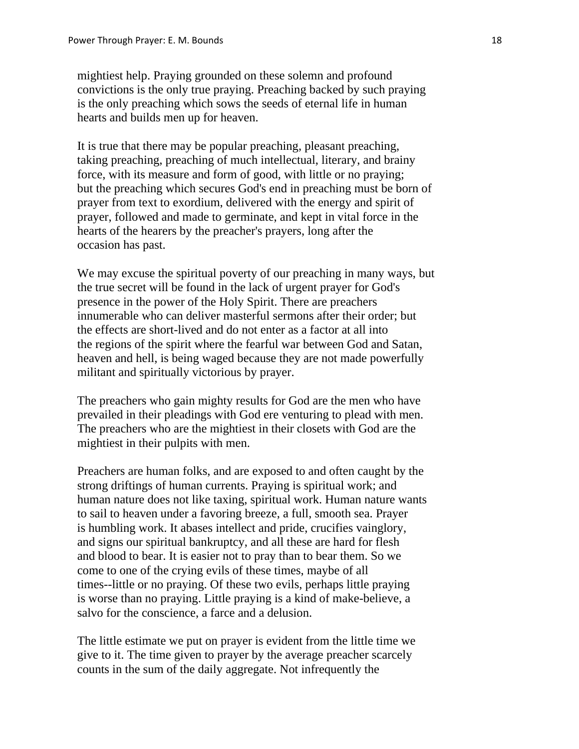mightiest help. Praying grounded on these solemn and profound convictions is the only true praying. Preaching backed by such praying is the only preaching which sows the seeds of eternal life in human hearts and builds men up for heaven.

 It is true that there may be popular preaching, pleasant preaching, taking preaching, preaching of much intellectual, literary, and brainy force, with its measure and form of good, with little or no praying; but the preaching which secures God's end in preaching must be born of prayer from text to exordium, delivered with the energy and spirit of prayer, followed and made to germinate, and kept in vital force in the hearts of the hearers by the preacher's prayers, long after the occasion has past.

 We may excuse the spiritual poverty of our preaching in many ways, but the true secret will be found in the lack of urgent prayer for God's presence in the power of the Holy Spirit. There are preachers innumerable who can deliver masterful sermons after their order; but the effects are short-lived and do not enter as a factor at all into the regions of the spirit where the fearful war between God and Satan, heaven and hell, is being waged because they are not made powerfully militant and spiritually victorious by prayer.

 The preachers who gain mighty results for God are the men who have prevailed in their pleadings with God ere venturing to plead with men. The preachers who are the mightiest in their closets with God are the mightiest in their pulpits with men.

 Preachers are human folks, and are exposed to and often caught by the strong driftings of human currents. Praying is spiritual work; and human nature does not like taxing, spiritual work. Human nature wants to sail to heaven under a favoring breeze, a full, smooth sea. Prayer is humbling work. It abases intellect and pride, crucifies vainglory, and signs our spiritual bankruptcy, and all these are hard for flesh and blood to bear. It is easier not to pray than to bear them. So we come to one of the crying evils of these times, maybe of all times--little or no praying. Of these two evils, perhaps little praying is worse than no praying. Little praying is a kind of make-believe, a salvo for the conscience, a farce and a delusion.

 The little estimate we put on prayer is evident from the little time we give to it. The time given to prayer by the average preacher scarcely counts in the sum of the daily aggregate. Not infrequently the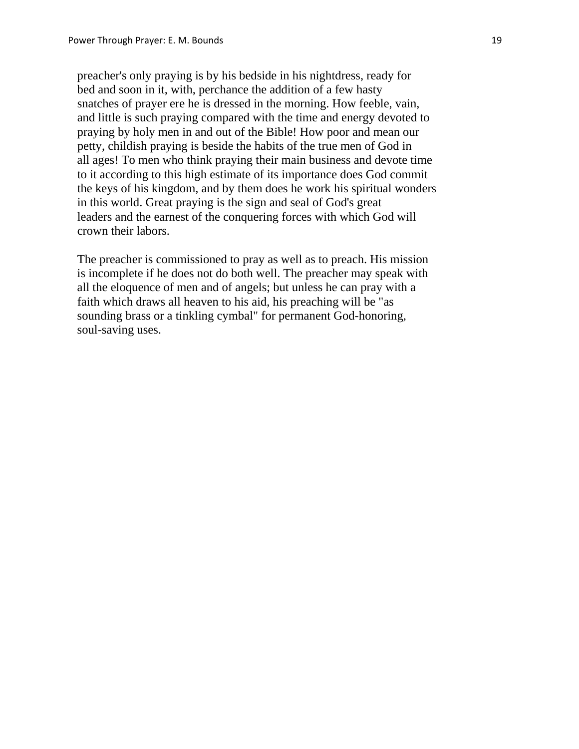preacher's only praying is by his bedside in his nightdress, ready for bed and soon in it, with, perchance the addition of a few hasty snatches of prayer ere he is dressed in the morning. How feeble, vain, and little is such praying compared with the time and energy devoted to praying by holy men in and out of the Bible! How poor and mean our petty, childish praying is beside the habits of the true men of God in all ages! To men who think praying their main business and devote time to it according to this high estimate of its importance does God commit the keys of his kingdom, and by them does he work his spiritual wonders in this world. Great praying is the sign and seal of God's great leaders and the earnest of the conquering forces with which God will crown their labors.

 The preacher is commissioned to pray as well as to preach. His mission is incomplete if he does not do both well. The preacher may speak with all the eloquence of men and of angels; but unless he can pray with a faith which draws all heaven to his aid, his preaching will be "as sounding brass or a tinkling cymbal" for permanent God-honoring, soul-saving uses.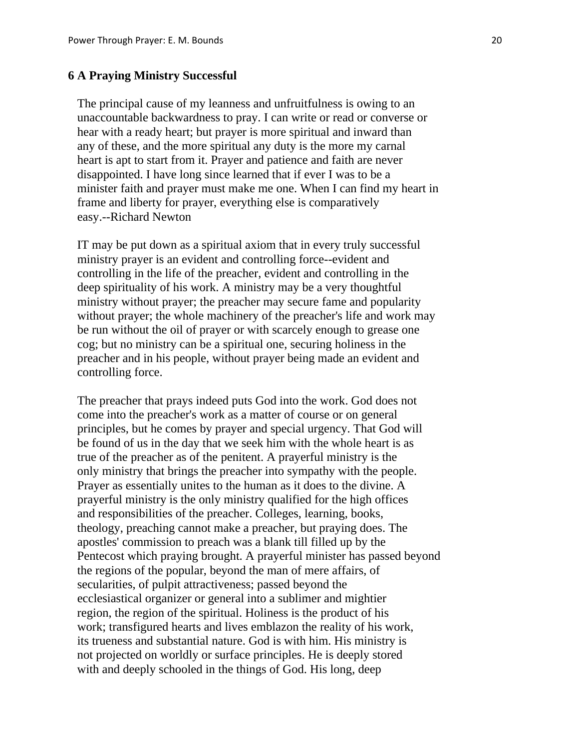# **6 A Praying Ministry Successful**

 The principal cause of my leanness and unfruitfulness is owing to an unaccountable backwardness to pray. I can write or read or converse or hear with a ready heart; but prayer is more spiritual and inward than any of these, and the more spiritual any duty is the more my carnal heart is apt to start from it. Prayer and patience and faith are never disappointed. I have long since learned that if ever I was to be a minister faith and prayer must make me one. When I can find my heart in frame and liberty for prayer, everything else is comparatively easy.--Richard Newton

 IT may be put down as a spiritual axiom that in every truly successful ministry prayer is an evident and controlling force--evident and controlling in the life of the preacher, evident and controlling in the deep spirituality of his work. A ministry may be a very thoughtful ministry without prayer; the preacher may secure fame and popularity without prayer; the whole machinery of the preacher's life and work may be run without the oil of prayer or with scarcely enough to grease one cog; but no ministry can be a spiritual one, securing holiness in the preacher and in his people, without prayer being made an evident and controlling force.

 The preacher that prays indeed puts God into the work. God does not come into the preacher's work as a matter of course or on general principles, but he comes by prayer and special urgency. That God will be found of us in the day that we seek him with the whole heart is as true of the preacher as of the penitent. A prayerful ministry is the only ministry that brings the preacher into sympathy with the people. Prayer as essentially unites to the human as it does to the divine. A prayerful ministry is the only ministry qualified for the high offices and responsibilities of the preacher. Colleges, learning, books, theology, preaching cannot make a preacher, but praying does. The apostles' commission to preach was a blank till filled up by the Pentecost which praying brought. A prayerful minister has passed beyond the regions of the popular, beyond the man of mere affairs, of secularities, of pulpit attractiveness; passed beyond the ecclesiastical organizer or general into a sublimer and mightier region, the region of the spiritual. Holiness is the product of his work; transfigured hearts and lives emblazon the reality of his work, its trueness and substantial nature. God is with him. His ministry is not projected on worldly or surface principles. He is deeply stored with and deeply schooled in the things of God. His long, deep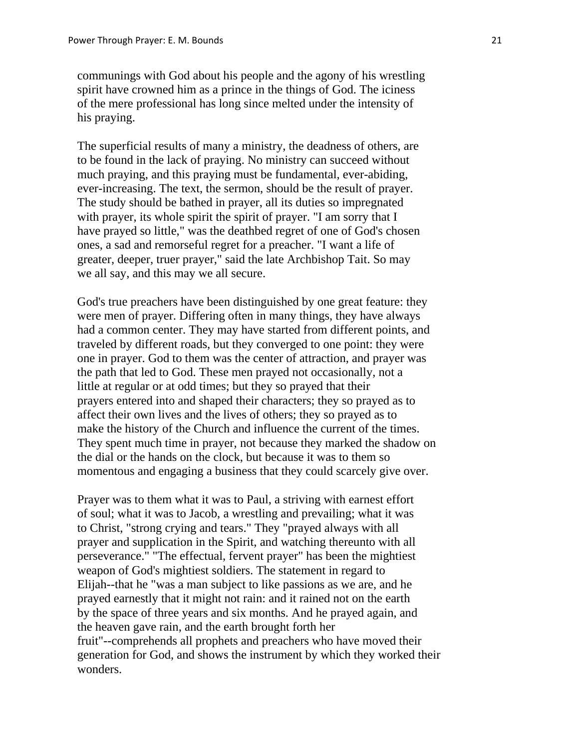communings with God about his people and the agony of his wrestling spirit have crowned him as a prince in the things of God. The iciness of the mere professional has long since melted under the intensity of his praying.

 The superficial results of many a ministry, the deadness of others, are to be found in the lack of praying. No ministry can succeed without much praying, and this praying must be fundamental, ever-abiding, ever-increasing. The text, the sermon, should be the result of prayer. The study should be bathed in prayer, all its duties so impregnated with prayer, its whole spirit the spirit of prayer. "I am sorry that I have prayed so little," was the deathbed regret of one of God's chosen ones, a sad and remorseful regret for a preacher. "I want a life of greater, deeper, truer prayer," said the late Archbishop Tait. So may we all say, and this may we all secure.

 God's true preachers have been distinguished by one great feature: they were men of prayer. Differing often in many things, they have always had a common center. They may have started from different points, and traveled by different roads, but they converged to one point: they were one in prayer. God to them was the center of attraction, and prayer was the path that led to God. These men prayed not occasionally, not a little at regular or at odd times; but they so prayed that their prayers entered into and shaped their characters; they so prayed as to affect their own lives and the lives of others; they so prayed as to make the history of the Church and influence the current of the times. They spent much time in prayer, not because they marked the shadow on the dial or the hands on the clock, but because it was to them so momentous and engaging a business that they could scarcely give over.

 Prayer was to them what it was to Paul, a striving with earnest effort of soul; what it was to Jacob, a wrestling and prevailing; what it was to Christ, "strong crying and tears." They "prayed always with all prayer and supplication in the Spirit, and watching thereunto with all perseverance." "The effectual, fervent prayer" has been the mightiest weapon of God's mightiest soldiers. The statement in regard to Elijah--that he "was a man subject to like passions as we are, and he prayed earnestly that it might not rain: and it rained not on the earth by the space of three years and six months. And he prayed again, and the heaven gave rain, and the earth brought forth her fruit"--comprehends all prophets and preachers who have moved their generation for God, and shows the instrument by which they worked their wonders.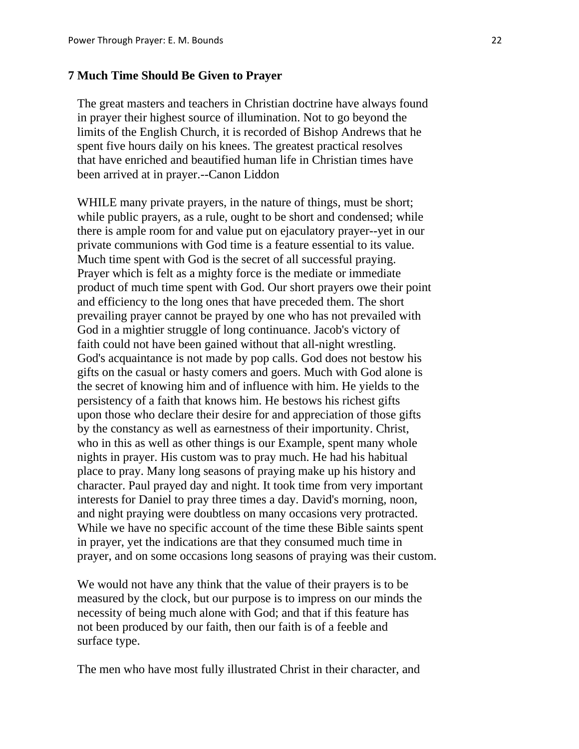#### **7 Much Time Should Be Given to Prayer**

 The great masters and teachers in Christian doctrine have always found in prayer their highest source of illumination. Not to go beyond the limits of the English Church, it is recorded of Bishop Andrews that he spent five hours daily on his knees. The greatest practical resolves that have enriched and beautified human life in Christian times have been arrived at in prayer.--Canon Liddon

WHILE many private prayers, in the nature of things, must be short; while public prayers, as a rule, ought to be short and condensed; while there is ample room for and value put on ejaculatory prayer--yet in our private communions with God time is a feature essential to its value. Much time spent with God is the secret of all successful praying. Prayer which is felt as a mighty force is the mediate or immediate product of much time spent with God. Our short prayers owe their point and efficiency to the long ones that have preceded them. The short prevailing prayer cannot be prayed by one who has not prevailed with God in a mightier struggle of long continuance. Jacob's victory of faith could not have been gained without that all-night wrestling. God's acquaintance is not made by pop calls. God does not bestow his gifts on the casual or hasty comers and goers. Much with God alone is the secret of knowing him and of influence with him. He yields to the persistency of a faith that knows him. He bestows his richest gifts upon those who declare their desire for and appreciation of those gifts by the constancy as well as earnestness of their importunity. Christ, who in this as well as other things is our Example, spent many whole nights in prayer. His custom was to pray much. He had his habitual place to pray. Many long seasons of praying make up his history and character. Paul prayed day and night. It took time from very important interests for Daniel to pray three times a day. David's morning, noon, and night praying were doubtless on many occasions very protracted. While we have no specific account of the time these Bible saints spent in prayer, yet the indications are that they consumed much time in prayer, and on some occasions long seasons of praying was their custom.

 We would not have any think that the value of their prayers is to be measured by the clock, but our purpose is to impress on our minds the necessity of being much alone with God; and that if this feature has not been produced by our faith, then our faith is of a feeble and surface type.

The men who have most fully illustrated Christ in their character, and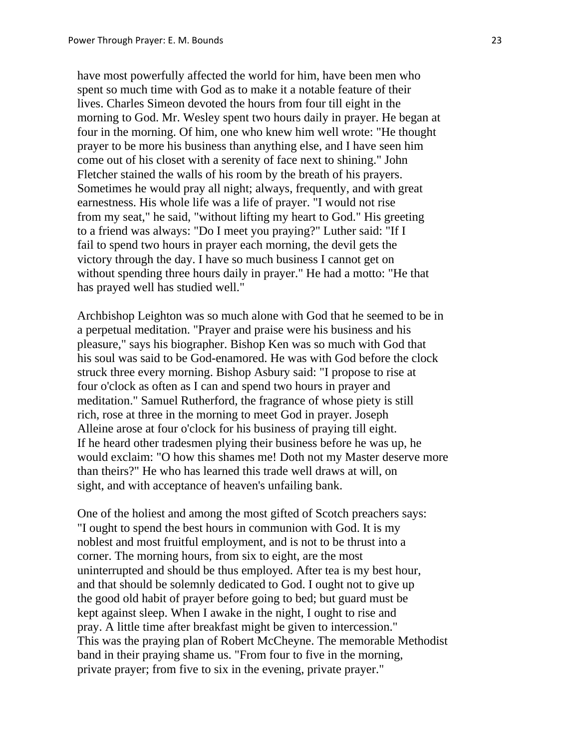have most powerfully affected the world for him, have been men who spent so much time with God as to make it a notable feature of their lives. Charles Simeon devoted the hours from four till eight in the morning to God. Mr. Wesley spent two hours daily in prayer. He began at four in the morning. Of him, one who knew him well wrote: "He thought prayer to be more his business than anything else, and I have seen him come out of his closet with a serenity of face next to shining." John Fletcher stained the walls of his room by the breath of his prayers. Sometimes he would pray all night; always, frequently, and with great earnestness. His whole life was a life of prayer. "I would not rise from my seat," he said, "without lifting my heart to God." His greeting to a friend was always: "Do I meet you praying?" Luther said: "If I fail to spend two hours in prayer each morning, the devil gets the victory through the day. I have so much business I cannot get on without spending three hours daily in prayer." He had a motto: "He that has prayed well has studied well."

 Archbishop Leighton was so much alone with God that he seemed to be in a perpetual meditation. "Prayer and praise were his business and his pleasure," says his biographer. Bishop Ken was so much with God that his soul was said to be God-enamored. He was with God before the clock struck three every morning. Bishop Asbury said: "I propose to rise at four o'clock as often as I can and spend two hours in prayer and meditation." Samuel Rutherford, the fragrance of whose piety is still rich, rose at three in the morning to meet God in prayer. Joseph Alleine arose at four o'clock for his business of praying till eight. If he heard other tradesmen plying their business before he was up, he would exclaim: "O how this shames me! Doth not my Master deserve more than theirs?" He who has learned this trade well draws at will, on sight, and with acceptance of heaven's unfailing bank.

 One of the holiest and among the most gifted of Scotch preachers says: "I ought to spend the best hours in communion with God. It is my noblest and most fruitful employment, and is not to be thrust into a corner. The morning hours, from six to eight, are the most uninterrupted and should be thus employed. After tea is my best hour, and that should be solemnly dedicated to God. I ought not to give up the good old habit of prayer before going to bed; but guard must be kept against sleep. When I awake in the night, I ought to rise and pray. A little time after breakfast might be given to intercession." This was the praying plan of Robert McCheyne. The memorable Methodist band in their praying shame us. "From four to five in the morning, private prayer; from five to six in the evening, private prayer."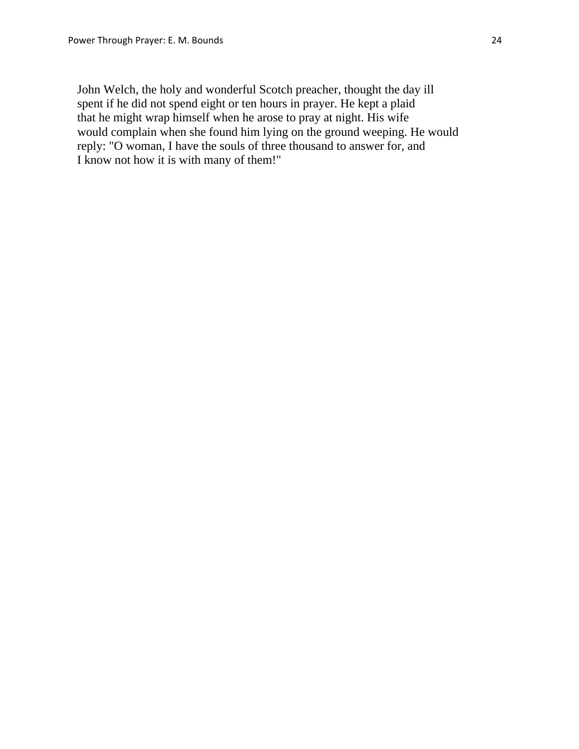John Welch, the holy and wonderful Scotch preacher, thought the day ill spent if he did not spend eight or ten hours in prayer. He kept a plaid that he might wrap himself when he arose to pray at night. His wife would complain when she found him lying on the ground weeping. He would reply: "O woman, I have the souls of three thousand to answer for, and I know not how it is with many of them!"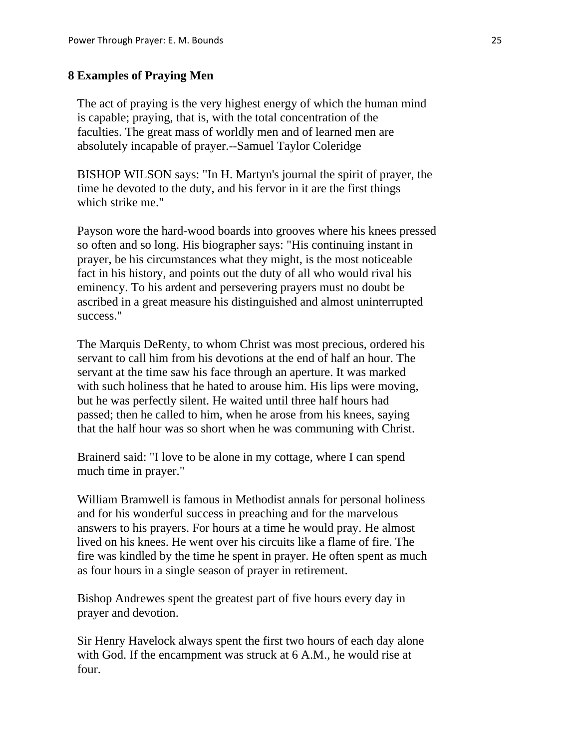#### **8 Examples of Praying Men**

 The act of praying is the very highest energy of which the human mind is capable; praying, that is, with the total concentration of the faculties. The great mass of worldly men and of learned men are absolutely incapable of prayer.--Samuel Taylor Coleridge

 BISHOP WILSON says: "In H. Martyn's journal the spirit of prayer, the time he devoted to the duty, and his fervor in it are the first things which strike me."

 Payson wore the hard-wood boards into grooves where his knees pressed so often and so long. His biographer says: "His continuing instant in prayer, be his circumstances what they might, is the most noticeable fact in his history, and points out the duty of all who would rival his eminency. To his ardent and persevering prayers must no doubt be ascribed in a great measure his distinguished and almost uninterrupted success."

 The Marquis DeRenty, to whom Christ was most precious, ordered his servant to call him from his devotions at the end of half an hour. The servant at the time saw his face through an aperture. It was marked with such holiness that he hated to arouse him. His lips were moving, but he was perfectly silent. He waited until three half hours had passed; then he called to him, when he arose from his knees, saying that the half hour was so short when he was communing with Christ.

 Brainerd said: "I love to be alone in my cottage, where I can spend much time in prayer."

 William Bramwell is famous in Methodist annals for personal holiness and for his wonderful success in preaching and for the marvelous answers to his prayers. For hours at a time he would pray. He almost lived on his knees. He went over his circuits like a flame of fire. The fire was kindled by the time he spent in prayer. He often spent as much as four hours in a single season of prayer in retirement.

 Bishop Andrewes spent the greatest part of five hours every day in prayer and devotion.

 Sir Henry Havelock always spent the first two hours of each day alone with God. If the encampment was struck at 6 A.M., he would rise at four.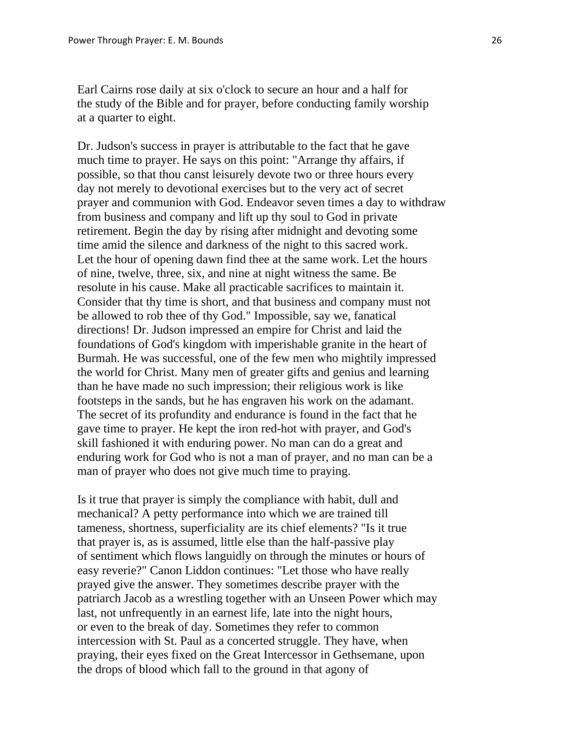Earl Cairns rose daily at six o'clock to secure an hour and a half for the study of the Bible and for prayer, before conducting family worship at a quarter to eight.

 Dr. Judson's success in prayer is attributable to the fact that he gave much time to prayer. He says on this point: "Arrange thy affairs, if possible, so that thou canst leisurely devote two or three hours every day not merely to devotional exercises but to the very act of secret prayer and communion with God. Endeavor seven times a day to withdraw from business and company and lift up thy soul to God in private retirement. Begin the day by rising after midnight and devoting some time amid the silence and darkness of the night to this sacred work. Let the hour of opening dawn find thee at the same work. Let the hours of nine, twelve, three, six, and nine at night witness the same. Be resolute in his cause. Make all practicable sacrifices to maintain it. Consider that thy time is short, and that business and company must not be allowed to rob thee of thy God." Impossible, say we, fanatical directions! Dr. Judson impressed an empire for Christ and laid the foundations of God's kingdom with imperishable granite in the heart of Burmah. He was successful, one of the few men who mightily impressed the world for Christ. Many men of greater gifts and genius and learning than he have made no such impression; their religious work is like footsteps in the sands, but he has engraven his work on the adamant. The secret of its profundity and endurance is found in the fact that he gave time to prayer. He kept the iron red-hot with prayer, and God's skill fashioned it with enduring power. No man can do a great and enduring work for God who is not a man of prayer, and no man can be a man of prayer who does not give much time to praying.

 Is it true that prayer is simply the compliance with habit, dull and mechanical? A petty performance into which we are trained till tameness, shortness, superficiality are its chief elements? "Is it true that prayer is, as is assumed, little else than the half-passive play of sentiment which flows languidly on through the minutes or hours of easy reverie?" Canon Liddon continues: "Let those who have really prayed give the answer. They sometimes describe prayer with the patriarch Jacob as a wrestling together with an Unseen Power which may last, not unfrequently in an earnest life, late into the night hours, or even to the break of day. Sometimes they refer to common intercession with St. Paul as a concerted struggle. They have, when praying, their eyes fixed on the Great Intercessor in Gethsemane, upon the drops of blood which fall to the ground in that agony of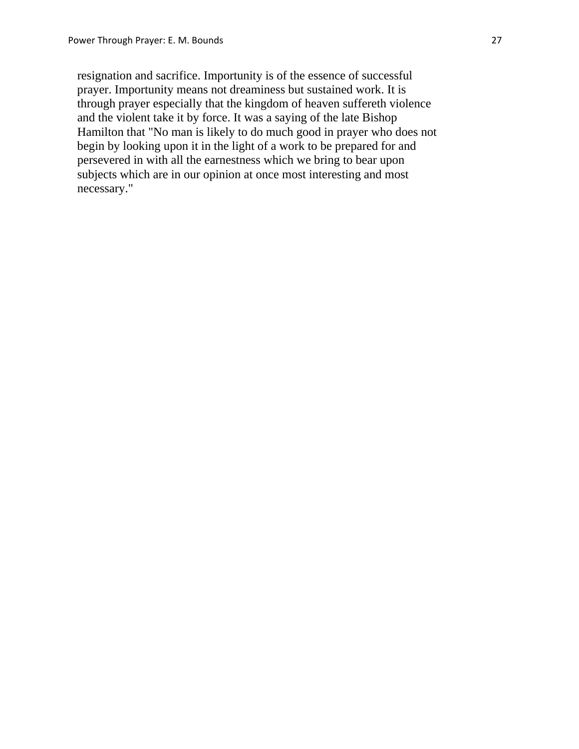resignation and sacrifice. Importunity is of the essence of successful prayer. Importunity means not dreaminess but sustained work. It is through prayer especially that the kingdom of heaven suffereth violence and the violent take it by force. It was a saying of the late Bishop Hamilton that "No man is likely to do much good in prayer who does not begin by looking upon it in the light of a work to be prepared for and persevered in with all the earnestness which we bring to bear upon subjects which are in our opinion at once most interesting and most necessary."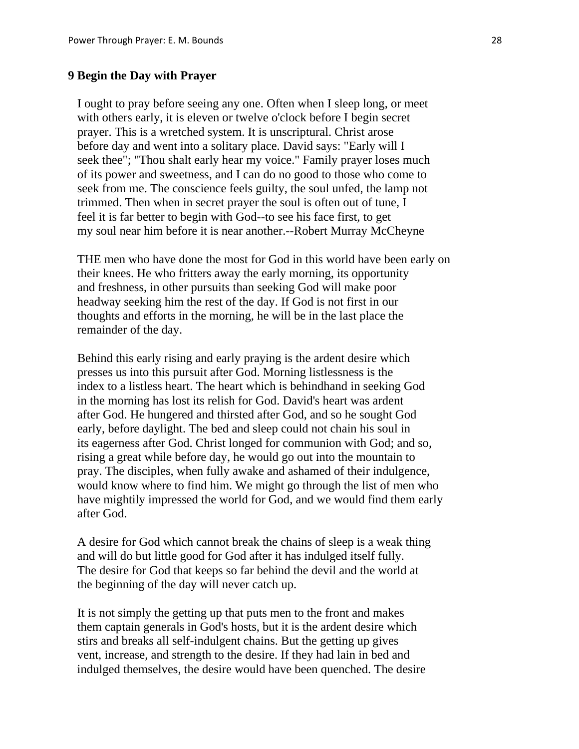# **9 Begin the Day with Prayer**

 I ought to pray before seeing any one. Often when I sleep long, or meet with others early, it is eleven or twelve o'clock before I begin secret prayer. This is a wretched system. It is unscriptural. Christ arose before day and went into a solitary place. David says: "Early will I seek thee"; "Thou shalt early hear my voice." Family prayer loses much of its power and sweetness, and I can do no good to those who come to seek from me. The conscience feels guilty, the soul unfed, the lamp not trimmed. Then when in secret prayer the soul is often out of tune, I feel it is far better to begin with God--to see his face first, to get my soul near him before it is near another.--Robert Murray McCheyne

 THE men who have done the most for God in this world have been early on their knees. He who fritters away the early morning, its opportunity and freshness, in other pursuits than seeking God will make poor headway seeking him the rest of the day. If God is not first in our thoughts and efforts in the morning, he will be in the last place the remainder of the day.

 Behind this early rising and early praying is the ardent desire which presses us into this pursuit after God. Morning listlessness is the index to a listless heart. The heart which is behindhand in seeking God in the morning has lost its relish for God. David's heart was ardent after God. He hungered and thirsted after God, and so he sought God early, before daylight. The bed and sleep could not chain his soul in its eagerness after God. Christ longed for communion with God; and so, rising a great while before day, he would go out into the mountain to pray. The disciples, when fully awake and ashamed of their indulgence, would know where to find him. We might go through the list of men who have mightily impressed the world for God, and we would find them early after God.

 A desire for God which cannot break the chains of sleep is a weak thing and will do but little good for God after it has indulged itself fully. The desire for God that keeps so far behind the devil and the world at the beginning of the day will never catch up.

 It is not simply the getting up that puts men to the front and makes them captain generals in God's hosts, but it is the ardent desire which stirs and breaks all self-indulgent chains. But the getting up gives vent, increase, and strength to the desire. If they had lain in bed and indulged themselves, the desire would have been quenched. The desire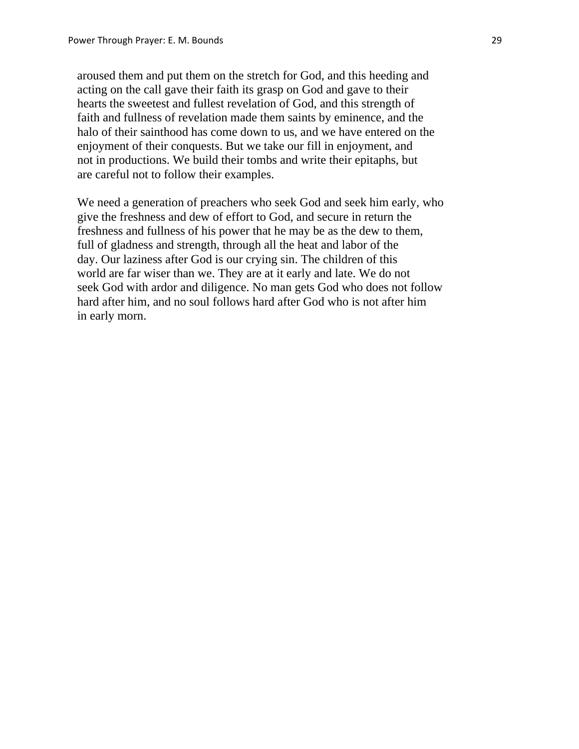aroused them and put them on the stretch for God, and this heeding and acting on the call gave their faith its grasp on God and gave to their hearts the sweetest and fullest revelation of God, and this strength of faith and fullness of revelation made them saints by eminence, and the halo of their sainthood has come down to us, and we have entered on the enjoyment of their conquests. But we take our fill in enjoyment, and not in productions. We build their tombs and write their epitaphs, but are careful not to follow their examples.

 We need a generation of preachers who seek God and seek him early, who give the freshness and dew of effort to God, and secure in return the freshness and fullness of his power that he may be as the dew to them, full of gladness and strength, through all the heat and labor of the day. Our laziness after God is our crying sin. The children of this world are far wiser than we. They are at it early and late. We do not seek God with ardor and diligence. No man gets God who does not follow hard after him, and no soul follows hard after God who is not after him in early morn.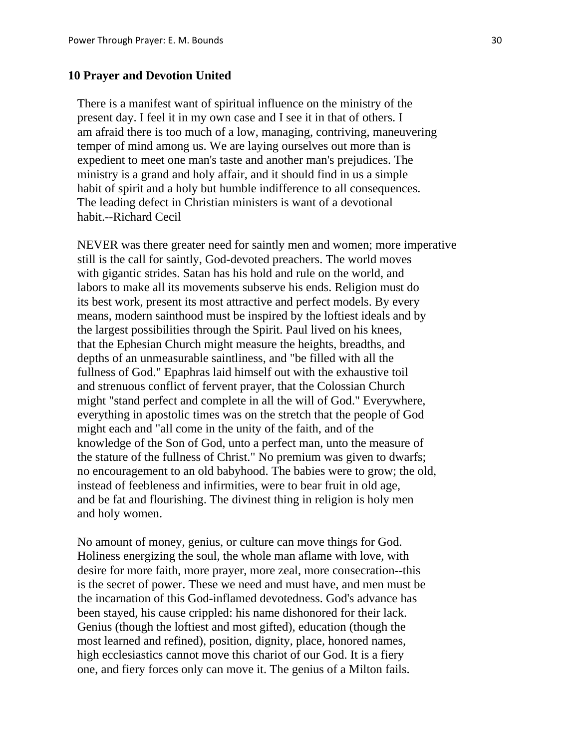#### **10 Prayer and Devotion United**

 There is a manifest want of spiritual influence on the ministry of the present day. I feel it in my own case and I see it in that of others. I am afraid there is too much of a low, managing, contriving, maneuvering temper of mind among us. We are laying ourselves out more than is expedient to meet one man's taste and another man's prejudices. The ministry is a grand and holy affair, and it should find in us a simple habit of spirit and a holy but humble indifference to all consequences. The leading defect in Christian ministers is want of a devotional habit.--Richard Cecil

 NEVER was there greater need for saintly men and women; more imperative still is the call for saintly, God-devoted preachers. The world moves with gigantic strides. Satan has his hold and rule on the world, and labors to make all its movements subserve his ends. Religion must do its best work, present its most attractive and perfect models. By every means, modern sainthood must be inspired by the loftiest ideals and by the largest possibilities through the Spirit. Paul lived on his knees, that the Ephesian Church might measure the heights, breadths, and depths of an unmeasurable saintliness, and "be filled with all the fullness of God." Epaphras laid himself out with the exhaustive toil and strenuous conflict of fervent prayer, that the Colossian Church might "stand perfect and complete in all the will of God." Everywhere, everything in apostolic times was on the stretch that the people of God might each and "all come in the unity of the faith, and of the knowledge of the Son of God, unto a perfect man, unto the measure of the stature of the fullness of Christ." No premium was given to dwarfs; no encouragement to an old babyhood. The babies were to grow; the old, instead of feebleness and infirmities, were to bear fruit in old age, and be fat and flourishing. The divinest thing in religion is holy men and holy women.

 No amount of money, genius, or culture can move things for God. Holiness energizing the soul, the whole man aflame with love, with desire for more faith, more prayer, more zeal, more consecration--this is the secret of power. These we need and must have, and men must be the incarnation of this God-inflamed devotedness. God's advance has been stayed, his cause crippled: his name dishonored for their lack. Genius (though the loftiest and most gifted), education (though the most learned and refined), position, dignity, place, honored names, high ecclesiastics cannot move this chariot of our God. It is a fiery one, and fiery forces only can move it. The genius of a Milton fails.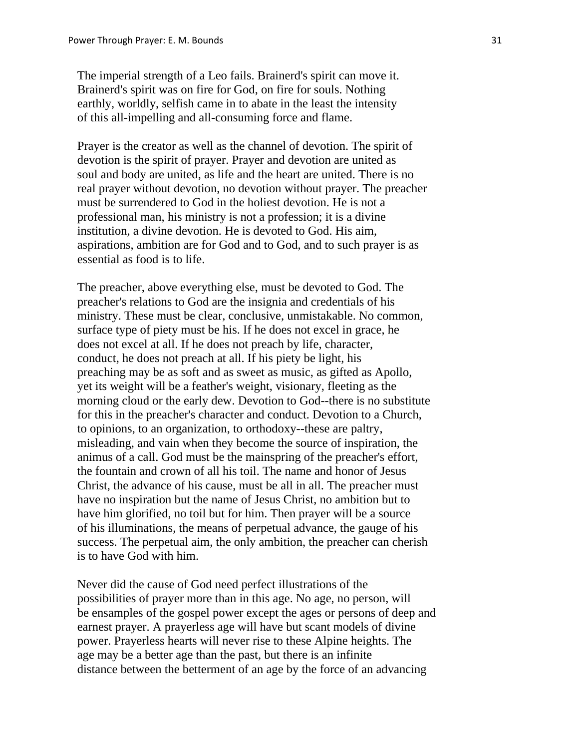The imperial strength of a Leo fails. Brainerd's spirit can move it. Brainerd's spirit was on fire for God, on fire for souls. Nothing earthly, worldly, selfish came in to abate in the least the intensity of this all-impelling and all-consuming force and flame.

 Prayer is the creator as well as the channel of devotion. The spirit of devotion is the spirit of prayer. Prayer and devotion are united as soul and body are united, as life and the heart are united. There is no real prayer without devotion, no devotion without prayer. The preacher must be surrendered to God in the holiest devotion. He is not a professional man, his ministry is not a profession; it is a divine institution, a divine devotion. He is devoted to God. His aim, aspirations, ambition are for God and to God, and to such prayer is as essential as food is to life.

 The preacher, above everything else, must be devoted to God. The preacher's relations to God are the insignia and credentials of his ministry. These must be clear, conclusive, unmistakable. No common, surface type of piety must be his. If he does not excel in grace, he does not excel at all. If he does not preach by life, character, conduct, he does not preach at all. If his piety be light, his preaching may be as soft and as sweet as music, as gifted as Apollo, yet its weight will be a feather's weight, visionary, fleeting as the morning cloud or the early dew. Devotion to God--there is no substitute for this in the preacher's character and conduct. Devotion to a Church, to opinions, to an organization, to orthodoxy--these are paltry, misleading, and vain when they become the source of inspiration, the animus of a call. God must be the mainspring of the preacher's effort, the fountain and crown of all his toil. The name and honor of Jesus Christ, the advance of his cause, must be all in all. The preacher must have no inspiration but the name of Jesus Christ, no ambition but to have him glorified, no toil but for him. Then prayer will be a source of his illuminations, the means of perpetual advance, the gauge of his success. The perpetual aim, the only ambition, the preacher can cherish is to have God with him.

 Never did the cause of God need perfect illustrations of the possibilities of prayer more than in this age. No age, no person, will be ensamples of the gospel power except the ages or persons of deep and earnest prayer. A prayerless age will have but scant models of divine power. Prayerless hearts will never rise to these Alpine heights. The age may be a better age than the past, but there is an infinite distance between the betterment of an age by the force of an advancing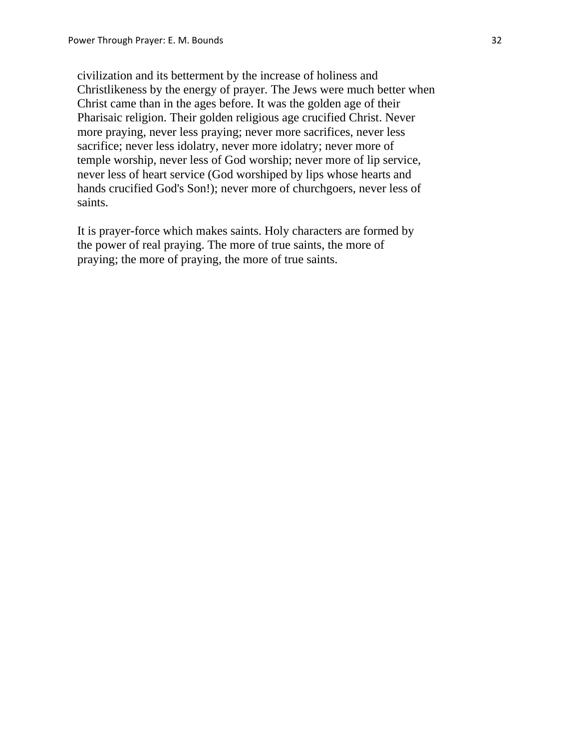civilization and its betterment by the increase of holiness and Christlikeness by the energy of prayer. The Jews were much better when Christ came than in the ages before. It was the golden age of their Pharisaic religion. Their golden religious age crucified Christ. Never more praying, never less praying; never more sacrifices, never less sacrifice; never less idolatry, never more idolatry; never more of temple worship, never less of God worship; never more of lip service, never less of heart service (God worshiped by lips whose hearts and hands crucified God's Son!); never more of churchgoers, never less of saints.

 It is prayer-force which makes saints. Holy characters are formed by the power of real praying. The more of true saints, the more of praying; the more of praying, the more of true saints.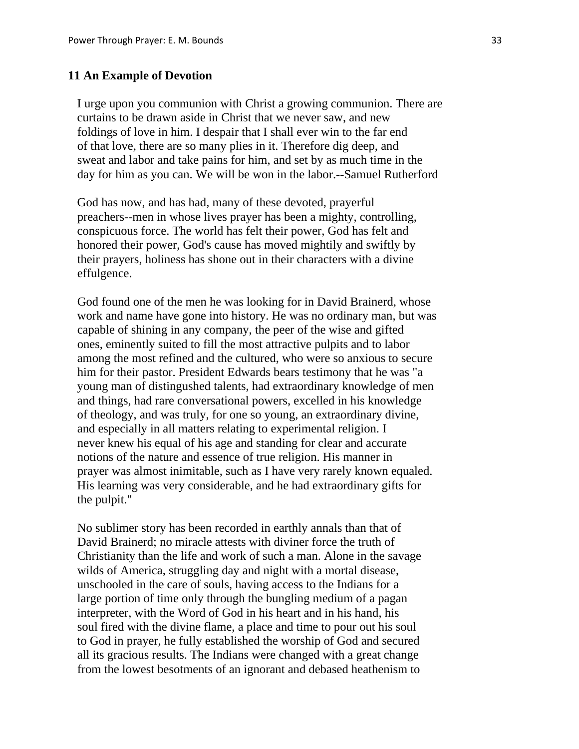#### **11 An Example of Devotion**

 I urge upon you communion with Christ a growing communion. There are curtains to be drawn aside in Christ that we never saw, and new foldings of love in him. I despair that I shall ever win to the far end of that love, there are so many plies in it. Therefore dig deep, and sweat and labor and take pains for him, and set by as much time in the day for him as you can. We will be won in the labor.--Samuel Rutherford

 God has now, and has had, many of these devoted, prayerful preachers--men in whose lives prayer has been a mighty, controlling, conspicuous force. The world has felt their power, God has felt and honored their power, God's cause has moved mightily and swiftly by their prayers, holiness has shone out in their characters with a divine effulgence.

 God found one of the men he was looking for in David Brainerd, whose work and name have gone into history. He was no ordinary man, but was capable of shining in any company, the peer of the wise and gifted ones, eminently suited to fill the most attractive pulpits and to labor among the most refined and the cultured, who were so anxious to secure him for their pastor. President Edwards bears testimony that he was "a young man of distingushed talents, had extraordinary knowledge of men and things, had rare conversational powers, excelled in his knowledge of theology, and was truly, for one so young, an extraordinary divine, and especially in all matters relating to experimental religion. I never knew his equal of his age and standing for clear and accurate notions of the nature and essence of true religion. His manner in prayer was almost inimitable, such as I have very rarely known equaled. His learning was very considerable, and he had extraordinary gifts for the pulpit."

 No sublimer story has been recorded in earthly annals than that of David Brainerd; no miracle attests with diviner force the truth of Christianity than the life and work of such a man. Alone in the savage wilds of America, struggling day and night with a mortal disease, unschooled in the care of souls, having access to the Indians for a large portion of time only through the bungling medium of a pagan interpreter, with the Word of God in his heart and in his hand, his soul fired with the divine flame, a place and time to pour out his soul to God in prayer, he fully established the worship of God and secured all its gracious results. The Indians were changed with a great change from the lowest besotments of an ignorant and debased heathenism to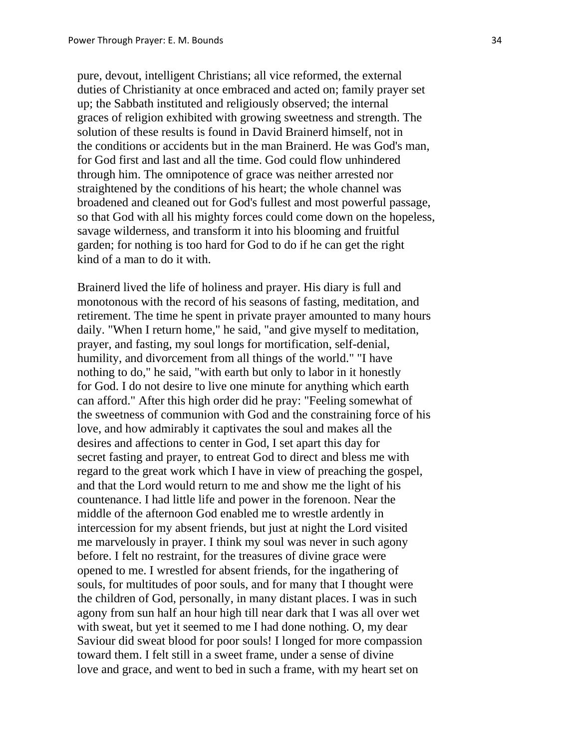pure, devout, intelligent Christians; all vice reformed, the external duties of Christianity at once embraced and acted on; family prayer set up; the Sabbath instituted and religiously observed; the internal graces of religion exhibited with growing sweetness and strength. The solution of these results is found in David Brainerd himself, not in the conditions or accidents but in the man Brainerd. He was God's man, for God first and last and all the time. God could flow unhindered through him. The omnipotence of grace was neither arrested nor straightened by the conditions of his heart; the whole channel was broadened and cleaned out for God's fullest and most powerful passage, so that God with all his mighty forces could come down on the hopeless, savage wilderness, and transform it into his blooming and fruitful garden; for nothing is too hard for God to do if he can get the right kind of a man to do it with.

 Brainerd lived the life of holiness and prayer. His diary is full and monotonous with the record of his seasons of fasting, meditation, and retirement. The time he spent in private prayer amounted to many hours daily. "When I return home," he said, "and give myself to meditation, prayer, and fasting, my soul longs for mortification, self-denial, humility, and divorcement from all things of the world." "I have nothing to do," he said, "with earth but only to labor in it honestly for God. I do not desire to live one minute for anything which earth can afford." After this high order did he pray: "Feeling somewhat of the sweetness of communion with God and the constraining force of his love, and how admirably it captivates the soul and makes all the desires and affections to center in God, I set apart this day for secret fasting and prayer, to entreat God to direct and bless me with regard to the great work which I have in view of preaching the gospel, and that the Lord would return to me and show me the light of his countenance. I had little life and power in the forenoon. Near the middle of the afternoon God enabled me to wrestle ardently in intercession for my absent friends, but just at night the Lord visited me marvelously in prayer. I think my soul was never in such agony before. I felt no restraint, for the treasures of divine grace were opened to me. I wrestled for absent friends, for the ingathering of souls, for multitudes of poor souls, and for many that I thought were the children of God, personally, in many distant places. I was in such agony from sun half an hour high till near dark that I was all over wet with sweat, but yet it seemed to me I had done nothing. O, my dear Saviour did sweat blood for poor souls! I longed for more compassion toward them. I felt still in a sweet frame, under a sense of divine love and grace, and went to bed in such a frame, with my heart set on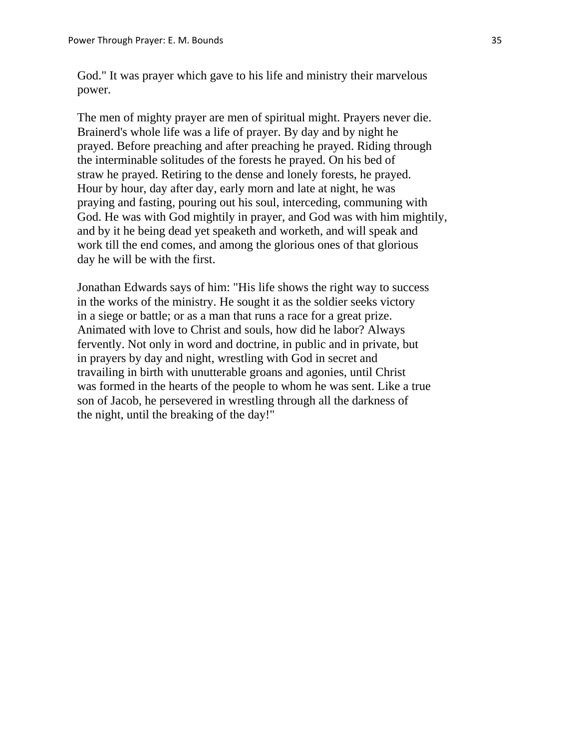God." It was prayer which gave to his life and ministry their marvelous power.

 The men of mighty prayer are men of spiritual might. Prayers never die. Brainerd's whole life was a life of prayer. By day and by night he prayed. Before preaching and after preaching he prayed. Riding through the interminable solitudes of the forests he prayed. On his bed of straw he prayed. Retiring to the dense and lonely forests, he prayed. Hour by hour, day after day, early morn and late at night, he was praying and fasting, pouring out his soul, interceding, communing with God. He was with God mightily in prayer, and God was with him mightily, and by it he being dead yet speaketh and worketh, and will speak and work till the end comes, and among the glorious ones of that glorious day he will be with the first.

 Jonathan Edwards says of him: "His life shows the right way to success in the works of the ministry. He sought it as the soldier seeks victory in a siege or battle; or as a man that runs a race for a great prize. Animated with love to Christ and souls, how did he labor? Always fervently. Not only in word and doctrine, in public and in private, but in prayers by day and night, wrestling with God in secret and travailing in birth with unutterable groans and agonies, until Christ was formed in the hearts of the people to whom he was sent. Like a true son of Jacob, he persevered in wrestling through all the darkness of the night, until the breaking of the day!"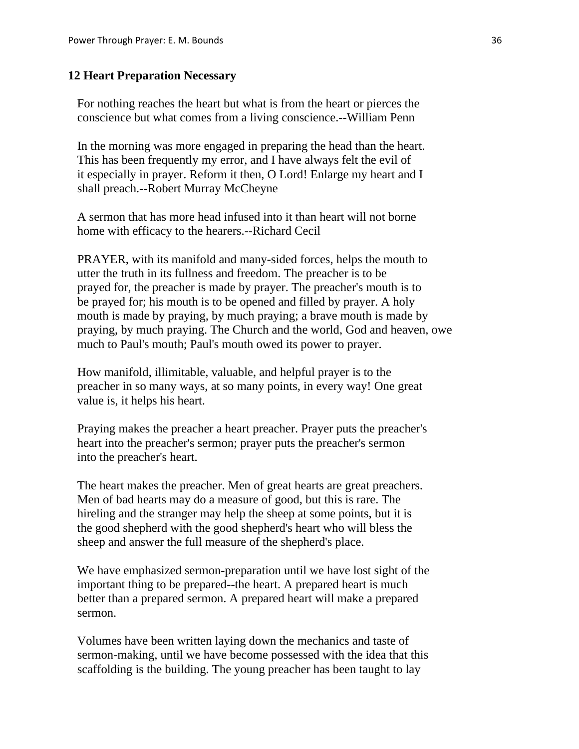#### **12 Heart Preparation Necessary**

 For nothing reaches the heart but what is from the heart or pierces the conscience but what comes from a living conscience.--William Penn

 In the morning was more engaged in preparing the head than the heart. This has been frequently my error, and I have always felt the evil of it especially in prayer. Reform it then, O Lord! Enlarge my heart and I shall preach.--Robert Murray McCheyne

 A sermon that has more head infused into it than heart will not borne home with efficacy to the hearers.--Richard Cecil

 PRAYER, with its manifold and many-sided forces, helps the mouth to utter the truth in its fullness and freedom. The preacher is to be prayed for, the preacher is made by prayer. The preacher's mouth is to be prayed for; his mouth is to be opened and filled by prayer. A holy mouth is made by praying, by much praying; a brave mouth is made by praying, by much praying. The Church and the world, God and heaven, owe much to Paul's mouth; Paul's mouth owed its power to prayer.

 How manifold, illimitable, valuable, and helpful prayer is to the preacher in so many ways, at so many points, in every way! One great value is, it helps his heart.

 Praying makes the preacher a heart preacher. Prayer puts the preacher's heart into the preacher's sermon; prayer puts the preacher's sermon into the preacher's heart.

 The heart makes the preacher. Men of great hearts are great preachers. Men of bad hearts may do a measure of good, but this is rare. The hireling and the stranger may help the sheep at some points, but it is the good shepherd with the good shepherd's heart who will bless the sheep and answer the full measure of the shepherd's place.

 We have emphasized sermon-preparation until we have lost sight of the important thing to be prepared--the heart. A prepared heart is much better than a prepared sermon. A prepared heart will make a prepared sermon.

 Volumes have been written laying down the mechanics and taste of sermon-making, until we have become possessed with the idea that this scaffolding is the building. The young preacher has been taught to lay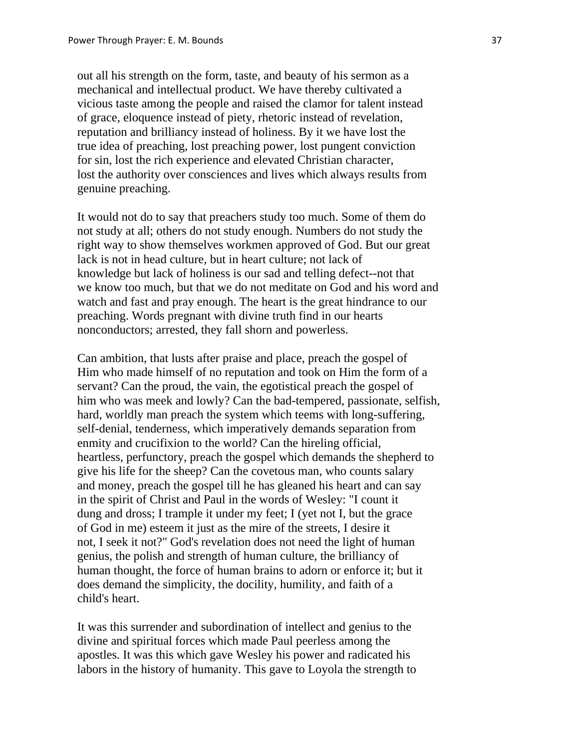out all his strength on the form, taste, and beauty of his sermon as a mechanical and intellectual product. We have thereby cultivated a vicious taste among the people and raised the clamor for talent instead of grace, eloquence instead of piety, rhetoric instead of revelation, reputation and brilliancy instead of holiness. By it we have lost the true idea of preaching, lost preaching power, lost pungent conviction for sin, lost the rich experience and elevated Christian character, lost the authority over consciences and lives which always results from genuine preaching.

 It would not do to say that preachers study too much. Some of them do not study at all; others do not study enough. Numbers do not study the right way to show themselves workmen approved of God. But our great lack is not in head culture, but in heart culture; not lack of knowledge but lack of holiness is our sad and telling defect--not that we know too much, but that we do not meditate on God and his word and watch and fast and pray enough. The heart is the great hindrance to our preaching. Words pregnant with divine truth find in our hearts nonconductors; arrested, they fall shorn and powerless.

 Can ambition, that lusts after praise and place, preach the gospel of Him who made himself of no reputation and took on Him the form of a servant? Can the proud, the vain, the egotistical preach the gospel of him who was meek and lowly? Can the bad-tempered, passionate, selfish, hard, worldly man preach the system which teems with long-suffering, self-denial, tenderness, which imperatively demands separation from enmity and crucifixion to the world? Can the hireling official, heartless, perfunctory, preach the gospel which demands the shepherd to give his life for the sheep? Can the covetous man, who counts salary and money, preach the gospel till he has gleaned his heart and can say in the spirit of Christ and Paul in the words of Wesley: "I count it dung and dross; I trample it under my feet; I (yet not I, but the grace of God in me) esteem it just as the mire of the streets, I desire it not, I seek it not?" God's revelation does not need the light of human genius, the polish and strength of human culture, the brilliancy of human thought, the force of human brains to adorn or enforce it; but it does demand the simplicity, the docility, humility, and faith of a child's heart.

 It was this surrender and subordination of intellect and genius to the divine and spiritual forces which made Paul peerless among the apostles. It was this which gave Wesley his power and radicated his labors in the history of humanity. This gave to Loyola the strength to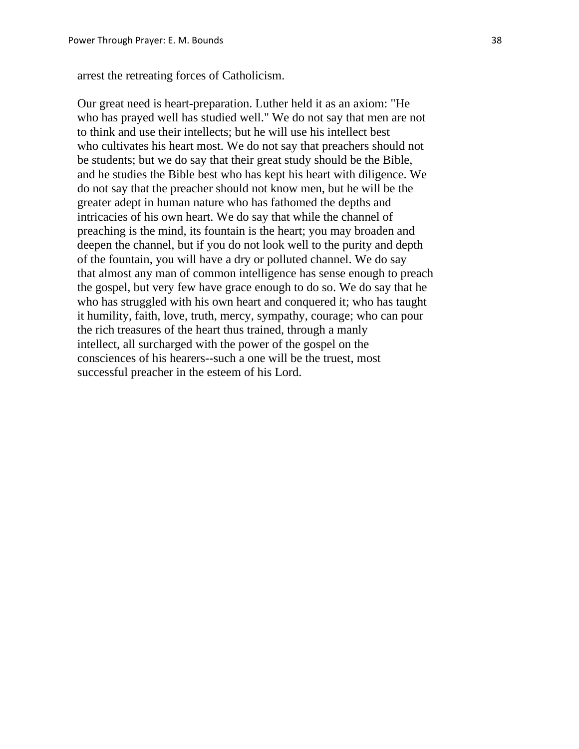arrest the retreating forces of Catholicism.

 Our great need is heart-preparation. Luther held it as an axiom: "He who has prayed well has studied well." We do not say that men are not to think and use their intellects; but he will use his intellect best who cultivates his heart most. We do not say that preachers should not be students; but we do say that their great study should be the Bible, and he studies the Bible best who has kept his heart with diligence. We do not say that the preacher should not know men, but he will be the greater adept in human nature who has fathomed the depths and intricacies of his own heart. We do say that while the channel of preaching is the mind, its fountain is the heart; you may broaden and deepen the channel, but if you do not look well to the purity and depth of the fountain, you will have a dry or polluted channel. We do say that almost any man of common intelligence has sense enough to preach the gospel, but very few have grace enough to do so. We do say that he who has struggled with his own heart and conquered it; who has taught it humility, faith, love, truth, mercy, sympathy, courage; who can pour the rich treasures of the heart thus trained, through a manly intellect, all surcharged with the power of the gospel on the consciences of his hearers--such a one will be the truest, most successful preacher in the esteem of his Lord.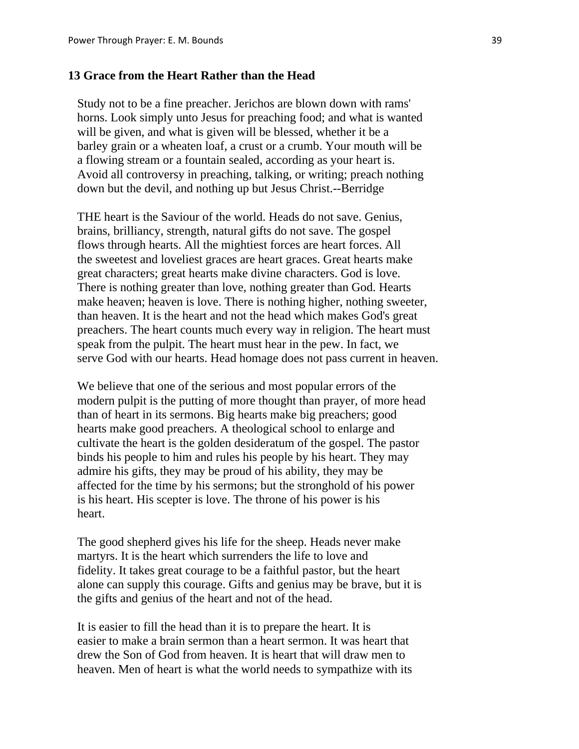# **13 Grace from the Heart Rather than the Head**

 Study not to be a fine preacher. Jerichos are blown down with rams' horns. Look simply unto Jesus for preaching food; and what is wanted will be given, and what is given will be blessed, whether it be a barley grain or a wheaten loaf, a crust or a crumb. Your mouth will be a flowing stream or a fountain sealed, according as your heart is. Avoid all controversy in preaching, talking, or writing; preach nothing down but the devil, and nothing up but Jesus Christ.--Berridge

 THE heart is the Saviour of the world. Heads do not save. Genius, brains, brilliancy, strength, natural gifts do not save. The gospel flows through hearts. All the mightiest forces are heart forces. All the sweetest and loveliest graces are heart graces. Great hearts make great characters; great hearts make divine characters. God is love. There is nothing greater than love, nothing greater than God. Hearts make heaven; heaven is love. There is nothing higher, nothing sweeter, than heaven. It is the heart and not the head which makes God's great preachers. The heart counts much every way in religion. The heart must speak from the pulpit. The heart must hear in the pew. In fact, we serve God with our hearts. Head homage does not pass current in heaven.

 We believe that one of the serious and most popular errors of the modern pulpit is the putting of more thought than prayer, of more head than of heart in its sermons. Big hearts make big preachers; good hearts make good preachers. A theological school to enlarge and cultivate the heart is the golden desideratum of the gospel. The pastor binds his people to him and rules his people by his heart. They may admire his gifts, they may be proud of his ability, they may be affected for the time by his sermons; but the stronghold of his power is his heart. His scepter is love. The throne of his power is his heart.

 The good shepherd gives his life for the sheep. Heads never make martyrs. It is the heart which surrenders the life to love and fidelity. It takes great courage to be a faithful pastor, but the heart alone can supply this courage. Gifts and genius may be brave, but it is the gifts and genius of the heart and not of the head.

 It is easier to fill the head than it is to prepare the heart. It is easier to make a brain sermon than a heart sermon. It was heart that drew the Son of God from heaven. It is heart that will draw men to heaven. Men of heart is what the world needs to sympathize with its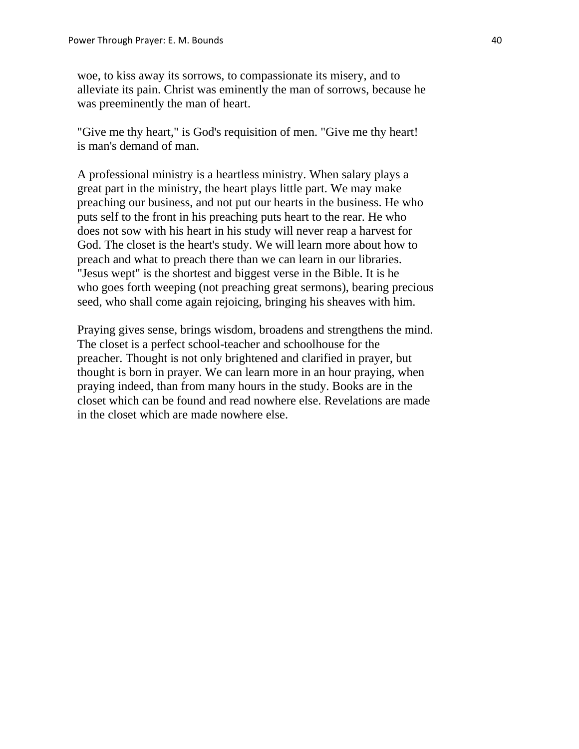woe, to kiss away its sorrows, to compassionate its misery, and to alleviate its pain. Christ was eminently the man of sorrows, because he was preeminently the man of heart.

 "Give me thy heart," is God's requisition of men. "Give me thy heart! is man's demand of man.

 A professional ministry is a heartless ministry. When salary plays a great part in the ministry, the heart plays little part. We may make preaching our business, and not put our hearts in the business. He who puts self to the front in his preaching puts heart to the rear. He who does not sow with his heart in his study will never reap a harvest for God. The closet is the heart's study. We will learn more about how to preach and what to preach there than we can learn in our libraries. "Jesus wept" is the shortest and biggest verse in the Bible. It is he who goes forth weeping (not preaching great sermons), bearing precious seed, who shall come again rejoicing, bringing his sheaves with him.

 Praying gives sense, brings wisdom, broadens and strengthens the mind. The closet is a perfect school-teacher and schoolhouse for the preacher. Thought is not only brightened and clarified in prayer, but thought is born in prayer. We can learn more in an hour praying, when praying indeed, than from many hours in the study. Books are in the closet which can be found and read nowhere else. Revelations are made in the closet which are made nowhere else.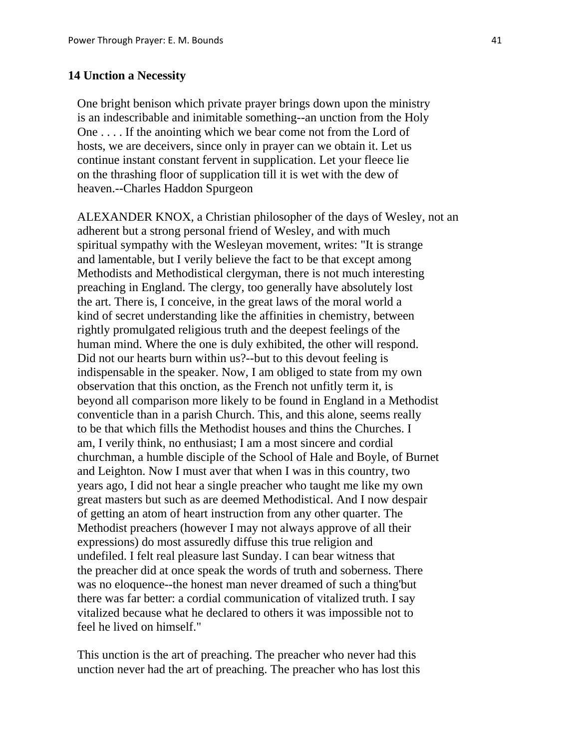#### **14 Unction a Necessity**

 One bright benison which private prayer brings down upon the ministry is an indescribable and inimitable something--an unction from the Holy One . . . . If the anointing which we bear come not from the Lord of hosts, we are deceivers, since only in prayer can we obtain it. Let us continue instant constant fervent in supplication. Let your fleece lie on the thrashing floor of supplication till it is wet with the dew of heaven.--Charles Haddon Spurgeon

 ALEXANDER KNOX, a Christian philosopher of the days of Wesley, not an adherent but a strong personal friend of Wesley, and with much spiritual sympathy with the Wesleyan movement, writes: "It is strange and lamentable, but I verily believe the fact to be that except among Methodists and Methodistical clergyman, there is not much interesting preaching in England. The clergy, too generally have absolutely lost the art. There is, I conceive, in the great laws of the moral world a kind of secret understanding like the affinities in chemistry, between rightly promulgated religious truth and the deepest feelings of the human mind. Where the one is duly exhibited, the other will respond. Did not our hearts burn within us?--but to this devout feeling is indispensable in the speaker. Now, I am obliged to state from my own observation that this onction, as the French not unfitly term it, is beyond all comparison more likely to be found in England in a Methodist conventicle than in a parish Church. This, and this alone, seems really to be that which fills the Methodist houses and thins the Churches. I am, I verily think, no enthusiast; I am a most sincere and cordial churchman, a humble disciple of the School of Hale and Boyle, of Burnet and Leighton. Now I must aver that when I was in this country, two years ago, I did not hear a single preacher who taught me like my own great masters but such as are deemed Methodistical. And I now despair of getting an atom of heart instruction from any other quarter. The Methodist preachers (however I may not always approve of all their expressions) do most assuredly diffuse this true religion and undefiled. I felt real pleasure last Sunday. I can bear witness that the preacher did at once speak the words of truth and soberness. There was no eloquence--the honest man never dreamed of such a thing'but there was far better: a cordial communication of vitalized truth. I say vitalized because what he declared to others it was impossible not to feel he lived on himself."

 This unction is the art of preaching. The preacher who never had this unction never had the art of preaching. The preacher who has lost this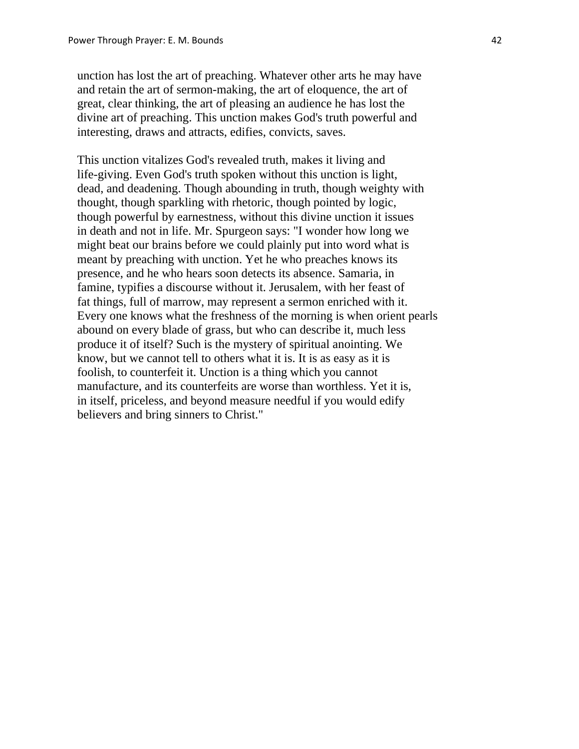unction has lost the art of preaching. Whatever other arts he may have and retain the art of sermon-making, the art of eloquence, the art of great, clear thinking, the art of pleasing an audience he has lost the divine art of preaching. This unction makes God's truth powerful and interesting, draws and attracts, edifies, convicts, saves.

 This unction vitalizes God's revealed truth, makes it living and life-giving. Even God's truth spoken without this unction is light, dead, and deadening. Though abounding in truth, though weighty with thought, though sparkling with rhetoric, though pointed by logic, though powerful by earnestness, without this divine unction it issues in death and not in life. Mr. Spurgeon says: "I wonder how long we might beat our brains before we could plainly put into word what is meant by preaching with unction. Yet he who preaches knows its presence, and he who hears soon detects its absence. Samaria, in famine, typifies a discourse without it. Jerusalem, with her feast of fat things, full of marrow, may represent a sermon enriched with it. Every one knows what the freshness of the morning is when orient pearls abound on every blade of grass, but who can describe it, much less produce it of itself? Such is the mystery of spiritual anointing. We know, but we cannot tell to others what it is. It is as easy as it is foolish, to counterfeit it. Unction is a thing which you cannot manufacture, and its counterfeits are worse than worthless. Yet it is, in itself, priceless, and beyond measure needful if you would edify believers and bring sinners to Christ."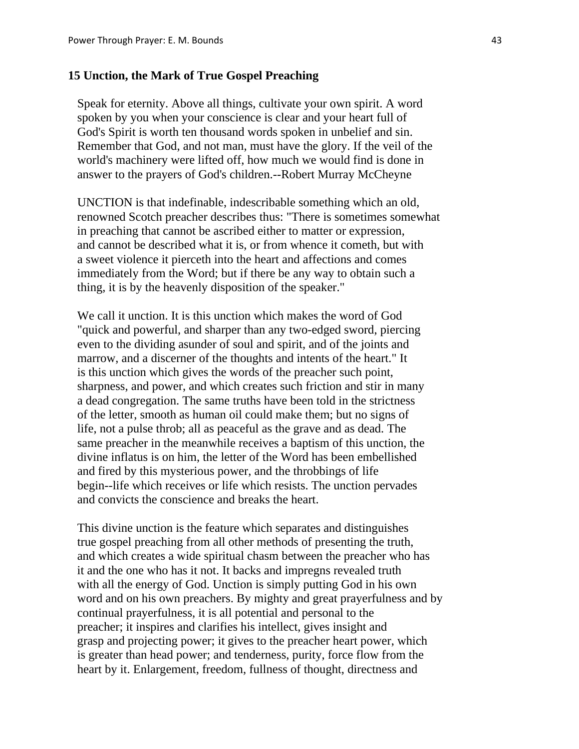# **15 Unction, the Mark of True Gospel Preaching**

 Speak for eternity. Above all things, cultivate your own spirit. A word spoken by you when your conscience is clear and your heart full of God's Spirit is worth ten thousand words spoken in unbelief and sin. Remember that God, and not man, must have the glory. If the veil of the world's machinery were lifted off, how much we would find is done in answer to the prayers of God's children.--Robert Murray McCheyne

 UNCTION is that indefinable, indescribable something which an old, renowned Scotch preacher describes thus: "There is sometimes somewhat in preaching that cannot be ascribed either to matter or expression, and cannot be described what it is, or from whence it cometh, but with a sweet violence it pierceth into the heart and affections and comes immediately from the Word; but if there be any way to obtain such a thing, it is by the heavenly disposition of the speaker."

 We call it unction. It is this unction which makes the word of God "quick and powerful, and sharper than any two-edged sword, piercing even to the dividing asunder of soul and spirit, and of the joints and marrow, and a discerner of the thoughts and intents of the heart." It is this unction which gives the words of the preacher such point, sharpness, and power, and which creates such friction and stir in many a dead congregation. The same truths have been told in the strictness of the letter, smooth as human oil could make them; but no signs of life, not a pulse throb; all as peaceful as the grave and as dead. The same preacher in the meanwhile receives a baptism of this unction, the divine inflatus is on him, the letter of the Word has been embellished and fired by this mysterious power, and the throbbings of life begin--life which receives or life which resists. The unction pervades and convicts the conscience and breaks the heart.

 This divine unction is the feature which separates and distinguishes true gospel preaching from all other methods of presenting the truth, and which creates a wide spiritual chasm between the preacher who has it and the one who has it not. It backs and impregns revealed truth with all the energy of God. Unction is simply putting God in his own word and on his own preachers. By mighty and great prayerfulness and by continual prayerfulness, it is all potential and personal to the preacher; it inspires and clarifies his intellect, gives insight and grasp and projecting power; it gives to the preacher heart power, which is greater than head power; and tenderness, purity, force flow from the heart by it. Enlargement, freedom, fullness of thought, directness and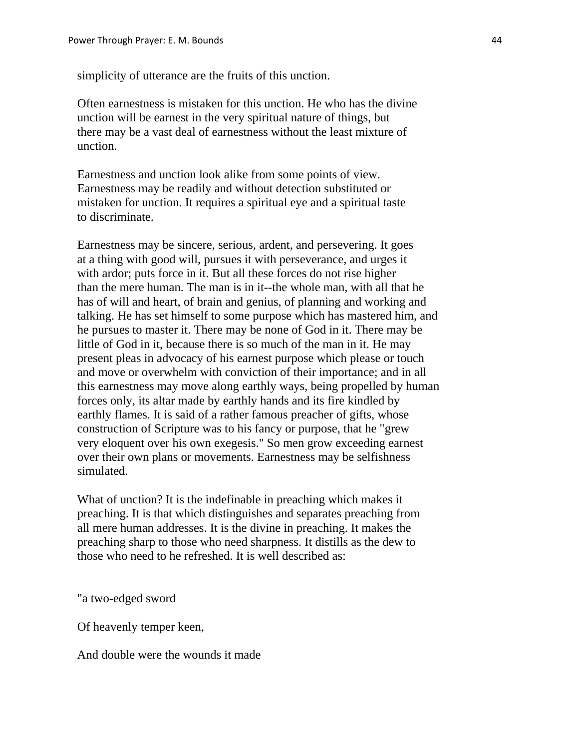simplicity of utterance are the fruits of this unction.

 Often earnestness is mistaken for this unction. He who has the divine unction will be earnest in the very spiritual nature of things, but there may be a vast deal of earnestness without the least mixture of unction.

 Earnestness and unction look alike from some points of view. Earnestness may be readily and without detection substituted or mistaken for unction. It requires a spiritual eye and a spiritual taste to discriminate.

 Earnestness may be sincere, serious, ardent, and persevering. It goes at a thing with good will, pursues it with perseverance, and urges it with ardor; puts force in it. But all these forces do not rise higher than the mere human. The man is in it--the whole man, with all that he has of will and heart, of brain and genius, of planning and working and talking. He has set himself to some purpose which has mastered him, and he pursues to master it. There may be none of God in it. There may be little of God in it, because there is so much of the man in it. He may present pleas in advocacy of his earnest purpose which please or touch and move or overwhelm with conviction of their importance; and in all this earnestness may move along earthly ways, being propelled by human forces only, its altar made by earthly hands and its fire kindled by earthly flames. It is said of a rather famous preacher of gifts, whose construction of Scripture was to his fancy or purpose, that he "grew very eloquent over his own exegesis." So men grow exceeding earnest over their own plans or movements. Earnestness may be selfishness simulated.

 What of unction? It is the indefinable in preaching which makes it preaching. It is that which distinguishes and separates preaching from all mere human addresses. It is the divine in preaching. It makes the preaching sharp to those who need sharpness. It distills as the dew to those who need to he refreshed. It is well described as:

"a two-edged sword

Of heavenly temper keen,

And double were the wounds it made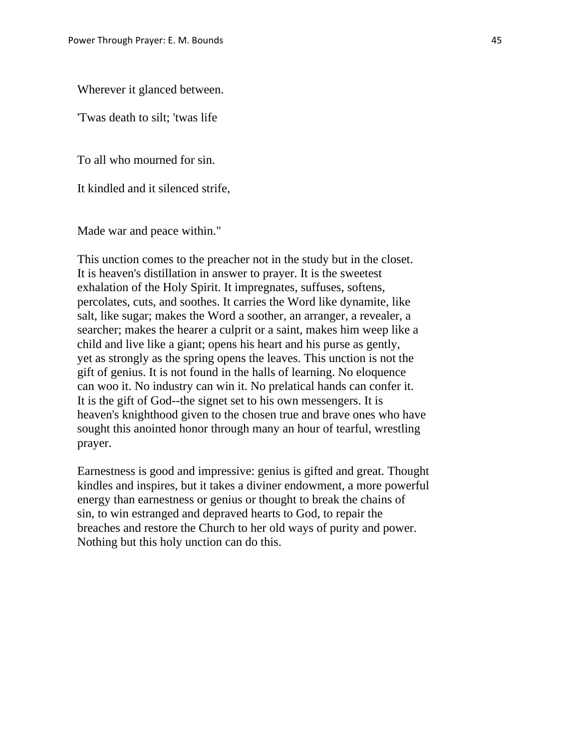Wherever it glanced between.

'Twas death to silt; 'twas life

To all who mourned for sin.

It kindled and it silenced strife,

Made war and peace within."

 This unction comes to the preacher not in the study but in the closet. It is heaven's distillation in answer to prayer. It is the sweetest exhalation of the Holy Spirit. It impregnates, suffuses, softens, percolates, cuts, and soothes. It carries the Word like dynamite, like salt, like sugar; makes the Word a soother, an arranger, a revealer, a searcher; makes the hearer a culprit or a saint, makes him weep like a child and live like a giant; opens his heart and his purse as gently, yet as strongly as the spring opens the leaves. This unction is not the gift of genius. It is not found in the halls of learning. No eloquence can woo it. No industry can win it. No prelatical hands can confer it. It is the gift of God--the signet set to his own messengers. It is heaven's knighthood given to the chosen true and brave ones who have sought this anointed honor through many an hour of tearful, wrestling prayer.

 Earnestness is good and impressive: genius is gifted and great. Thought kindles and inspires, but it takes a diviner endowment, a more powerful energy than earnestness or genius or thought to break the chains of sin, to win estranged and depraved hearts to God, to repair the breaches and restore the Church to her old ways of purity and power. Nothing but this holy unction can do this.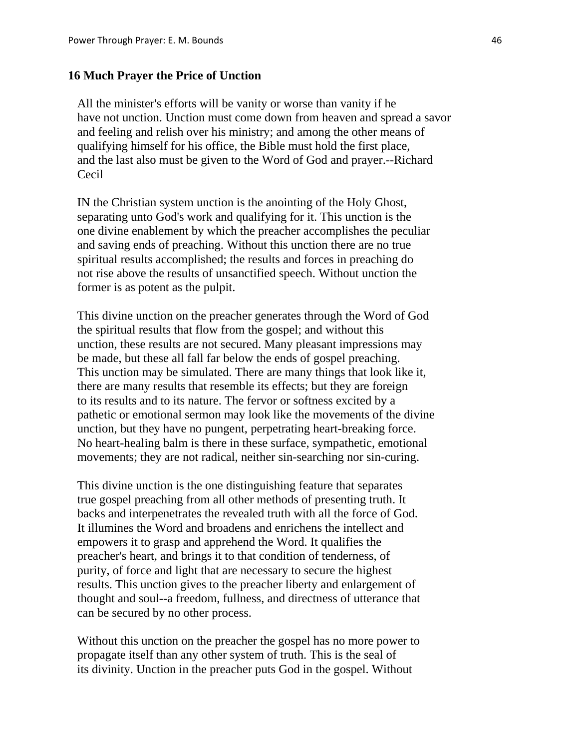#### **16 Much Prayer the Price of Unction**

 All the minister's efforts will be vanity or worse than vanity if he have not unction. Unction must come down from heaven and spread a savor and feeling and relish over his ministry; and among the other means of qualifying himself for his office, the Bible must hold the first place, and the last also must be given to the Word of God and prayer.--Richard Cecil

 IN the Christian system unction is the anointing of the Holy Ghost, separating unto God's work and qualifying for it. This unction is the one divine enablement by which the preacher accomplishes the peculiar and saving ends of preaching. Without this unction there are no true spiritual results accomplished; the results and forces in preaching do not rise above the results of unsanctified speech. Without unction the former is as potent as the pulpit.

 This divine unction on the preacher generates through the Word of God the spiritual results that flow from the gospel; and without this unction, these results are not secured. Many pleasant impressions may be made, but these all fall far below the ends of gospel preaching. This unction may be simulated. There are many things that look like it, there are many results that resemble its effects; but they are foreign to its results and to its nature. The fervor or softness excited by a pathetic or emotional sermon may look like the movements of the divine unction, but they have no pungent, perpetrating heart-breaking force. No heart-healing balm is there in these surface, sympathetic, emotional movements; they are not radical, neither sin-searching nor sin-curing.

 This divine unction is the one distinguishing feature that separates true gospel preaching from all other methods of presenting truth. It backs and interpenetrates the revealed truth with all the force of God. It illumines the Word and broadens and enrichens the intellect and empowers it to grasp and apprehend the Word. It qualifies the preacher's heart, and brings it to that condition of tenderness, of purity, of force and light that are necessary to secure the highest results. This unction gives to the preacher liberty and enlargement of thought and soul--a freedom, fullness, and directness of utterance that can be secured by no other process.

 Without this unction on the preacher the gospel has no more power to propagate itself than any other system of truth. This is the seal of its divinity. Unction in the preacher puts God in the gospel. Without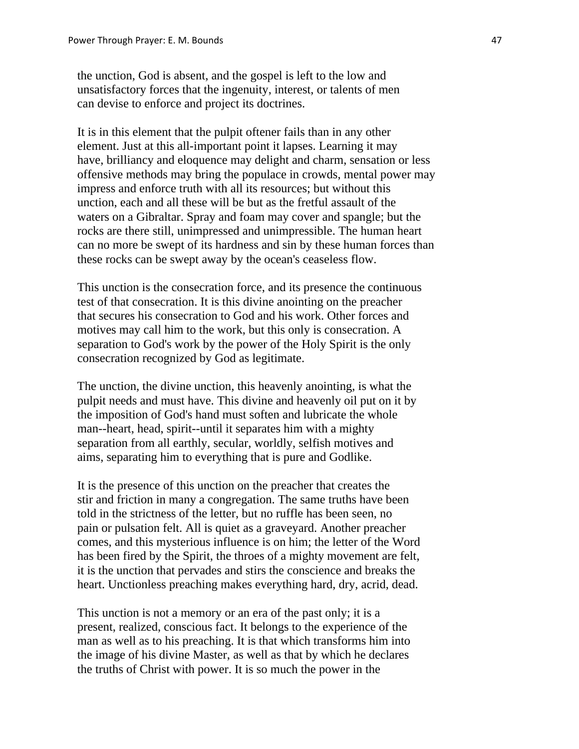the unction, God is absent, and the gospel is left to the low and unsatisfactory forces that the ingenuity, interest, or talents of men can devise to enforce and project its doctrines.

 It is in this element that the pulpit oftener fails than in any other element. Just at this all-important point it lapses. Learning it may have, brilliancy and eloquence may delight and charm, sensation or less offensive methods may bring the populace in crowds, mental power may impress and enforce truth with all its resources; but without this unction, each and all these will be but as the fretful assault of the waters on a Gibraltar. Spray and foam may cover and spangle; but the rocks are there still, unimpressed and unimpressible. The human heart can no more be swept of its hardness and sin by these human forces than these rocks can be swept away by the ocean's ceaseless flow.

 This unction is the consecration force, and its presence the continuous test of that consecration. It is this divine anointing on the preacher that secures his consecration to God and his work. Other forces and motives may call him to the work, but this only is consecration. A separation to God's work by the power of the Holy Spirit is the only consecration recognized by God as legitimate.

 The unction, the divine unction, this heavenly anointing, is what the pulpit needs and must have. This divine and heavenly oil put on it by the imposition of God's hand must soften and lubricate the whole man--heart, head, spirit--until it separates him with a mighty separation from all earthly, secular, worldly, selfish motives and aims, separating him to everything that is pure and Godlike.

 It is the presence of this unction on the preacher that creates the stir and friction in many a congregation. The same truths have been told in the strictness of the letter, but no ruffle has been seen, no pain or pulsation felt. All is quiet as a graveyard. Another preacher comes, and this mysterious influence is on him; the letter of the Word has been fired by the Spirit, the throes of a mighty movement are felt, it is the unction that pervades and stirs the conscience and breaks the heart. Unctionless preaching makes everything hard, dry, acrid, dead.

 This unction is not a memory or an era of the past only; it is a present, realized, conscious fact. It belongs to the experience of the man as well as to his preaching. It is that which transforms him into the image of his divine Master, as well as that by which he declares the truths of Christ with power. It is so much the power in the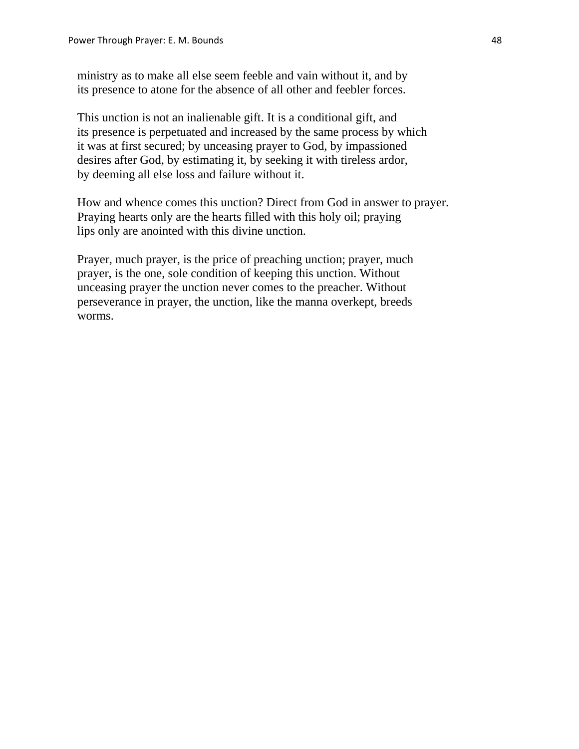ministry as to make all else seem feeble and vain without it, and by its presence to atone for the absence of all other and feebler forces.

 This unction is not an inalienable gift. It is a conditional gift, and its presence is perpetuated and increased by the same process by which it was at first secured; by unceasing prayer to God, by impassioned desires after God, by estimating it, by seeking it with tireless ardor, by deeming all else loss and failure without it.

 How and whence comes this unction? Direct from God in answer to prayer. Praying hearts only are the hearts filled with this holy oil; praying lips only are anointed with this divine unction.

 Prayer, much prayer, is the price of preaching unction; prayer, much prayer, is the one, sole condition of keeping this unction. Without unceasing prayer the unction never comes to the preacher. Without perseverance in prayer, the unction, like the manna overkept, breeds worms.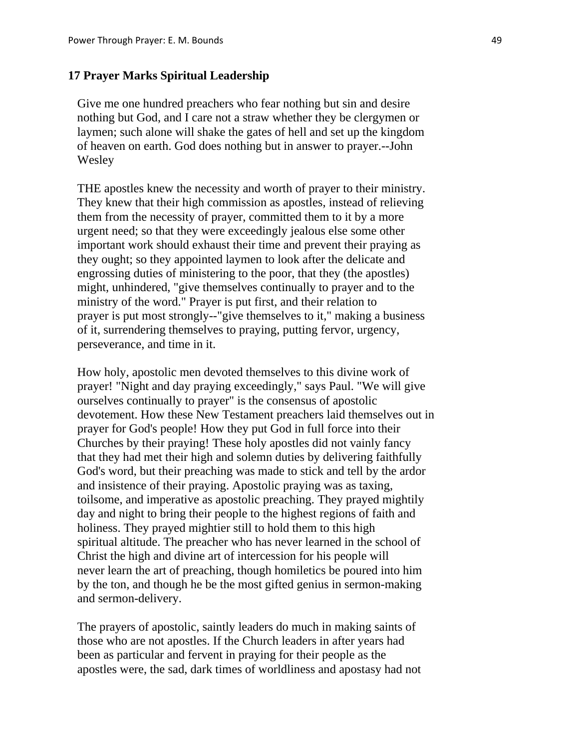# **17 Prayer Marks Spiritual Leadership**

 Give me one hundred preachers who fear nothing but sin and desire nothing but God, and I care not a straw whether they be clergymen or laymen; such alone will shake the gates of hell and set up the kingdom of heaven on earth. God does nothing but in answer to prayer.--John Wesley

 THE apostles knew the necessity and worth of prayer to their ministry. They knew that their high commission as apostles, instead of relieving them from the necessity of prayer, committed them to it by a more urgent need; so that they were exceedingly jealous else some other important work should exhaust their time and prevent their praying as they ought; so they appointed laymen to look after the delicate and engrossing duties of ministering to the poor, that they (the apostles) might, unhindered, "give themselves continually to prayer and to the ministry of the word." Prayer is put first, and their relation to prayer is put most strongly--"give themselves to it," making a business of it, surrendering themselves to praying, putting fervor, urgency, perseverance, and time in it.

 How holy, apostolic men devoted themselves to this divine work of prayer! "Night and day praying exceedingly," says Paul. "We will give ourselves continually to prayer" is the consensus of apostolic devotement. How these New Testament preachers laid themselves out in prayer for God's people! How they put God in full force into their Churches by their praying! These holy apostles did not vainly fancy that they had met their high and solemn duties by delivering faithfully God's word, but their preaching was made to stick and tell by the ardor and insistence of their praying. Apostolic praying was as taxing, toilsome, and imperative as apostolic preaching. They prayed mightily day and night to bring their people to the highest regions of faith and holiness. They prayed mightier still to hold them to this high spiritual altitude. The preacher who has never learned in the school of Christ the high and divine art of intercession for his people will never learn the art of preaching, though homiletics be poured into him by the ton, and though he be the most gifted genius in sermon-making and sermon-delivery.

 The prayers of apostolic, saintly leaders do much in making saints of those who are not apostles. If the Church leaders in after years had been as particular and fervent in praying for their people as the apostles were, the sad, dark times of worldliness and apostasy had not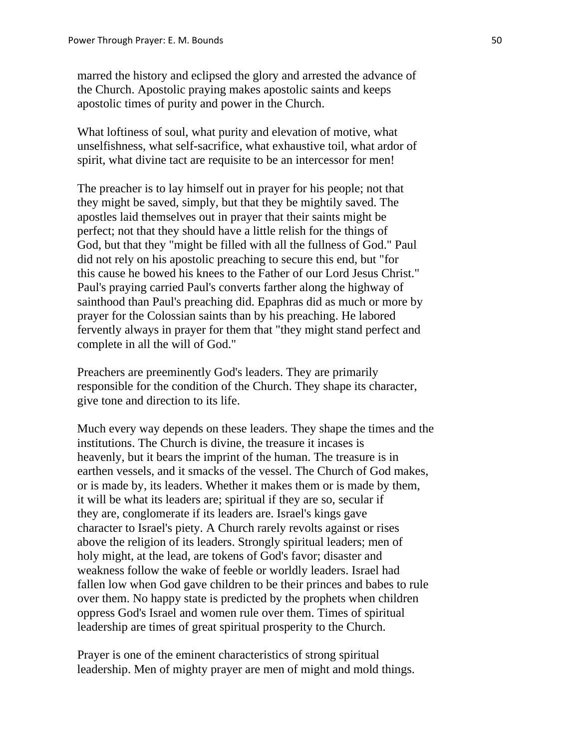marred the history and eclipsed the glory and arrested the advance of the Church. Apostolic praying makes apostolic saints and keeps apostolic times of purity and power in the Church.

 What loftiness of soul, what purity and elevation of motive, what unselfishness, what self-sacrifice, what exhaustive toil, what ardor of spirit, what divine tact are requisite to be an intercessor for men!

 The preacher is to lay himself out in prayer for his people; not that they might be saved, simply, but that they be mightily saved. The apostles laid themselves out in prayer that their saints might be perfect; not that they should have a little relish for the things of God, but that they "might be filled with all the fullness of God." Paul did not rely on his apostolic preaching to secure this end, but "for this cause he bowed his knees to the Father of our Lord Jesus Christ." Paul's praying carried Paul's converts farther along the highway of sainthood than Paul's preaching did. Epaphras did as much or more by prayer for the Colossian saints than by his preaching. He labored fervently always in prayer for them that "they might stand perfect and complete in all the will of God."

 Preachers are preeminently God's leaders. They are primarily responsible for the condition of the Church. They shape its character, give tone and direction to its life.

 Much every way depends on these leaders. They shape the times and the institutions. The Church is divine, the treasure it incases is heavenly, but it bears the imprint of the human. The treasure is in earthen vessels, and it smacks of the vessel. The Church of God makes, or is made by, its leaders. Whether it makes them or is made by them, it will be what its leaders are; spiritual if they are so, secular if they are, conglomerate if its leaders are. Israel's kings gave character to Israel's piety. A Church rarely revolts against or rises above the religion of its leaders. Strongly spiritual leaders; men of holy might, at the lead, are tokens of God's favor; disaster and weakness follow the wake of feeble or worldly leaders. Israel had fallen low when God gave children to be their princes and babes to rule over them. No happy state is predicted by the prophets when children oppress God's Israel and women rule over them. Times of spiritual leadership are times of great spiritual prosperity to the Church.

 Prayer is one of the eminent characteristics of strong spiritual leadership. Men of mighty prayer are men of might and mold things.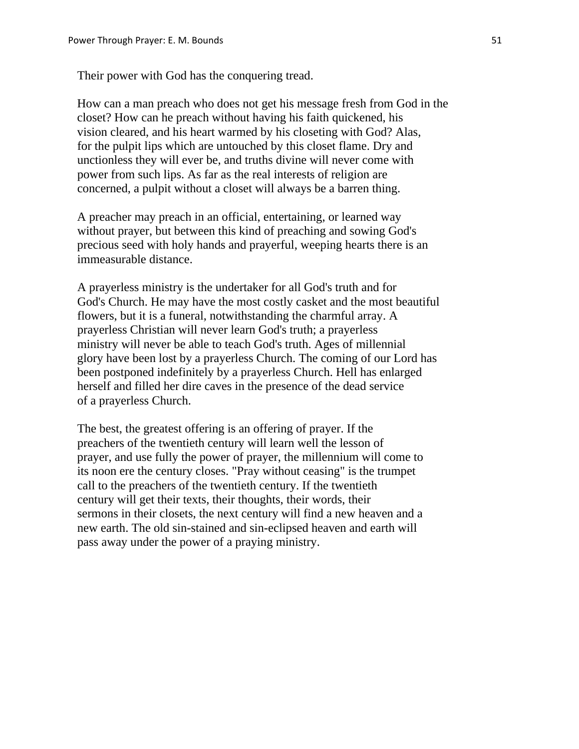Their power with God has the conquering tread.

 How can a man preach who does not get his message fresh from God in the closet? How can he preach without having his faith quickened, his vision cleared, and his heart warmed by his closeting with God? Alas, for the pulpit lips which are untouched by this closet flame. Dry and unctionless they will ever be, and truths divine will never come with power from such lips. As far as the real interests of religion are concerned, a pulpit without a closet will always be a barren thing.

 A preacher may preach in an official, entertaining, or learned way without prayer, but between this kind of preaching and sowing God's precious seed with holy hands and prayerful, weeping hearts there is an immeasurable distance.

 A prayerless ministry is the undertaker for all God's truth and for God's Church. He may have the most costly casket and the most beautiful flowers, but it is a funeral, notwithstanding the charmful array. A prayerless Christian will never learn God's truth; a prayerless ministry will never be able to teach God's truth. Ages of millennial glory have been lost by a prayerless Church. The coming of our Lord has been postponed indefinitely by a prayerless Church. Hell has enlarged herself and filled her dire caves in the presence of the dead service of a prayerless Church.

 The best, the greatest offering is an offering of prayer. If the preachers of the twentieth century will learn well the lesson of prayer, and use fully the power of prayer, the millennium will come to its noon ere the century closes. "Pray without ceasing" is the trumpet call to the preachers of the twentieth century. If the twentieth century will get their texts, their thoughts, their words, their sermons in their closets, the next century will find a new heaven and a new earth. The old sin-stained and sin-eclipsed heaven and earth will pass away under the power of a praying ministry.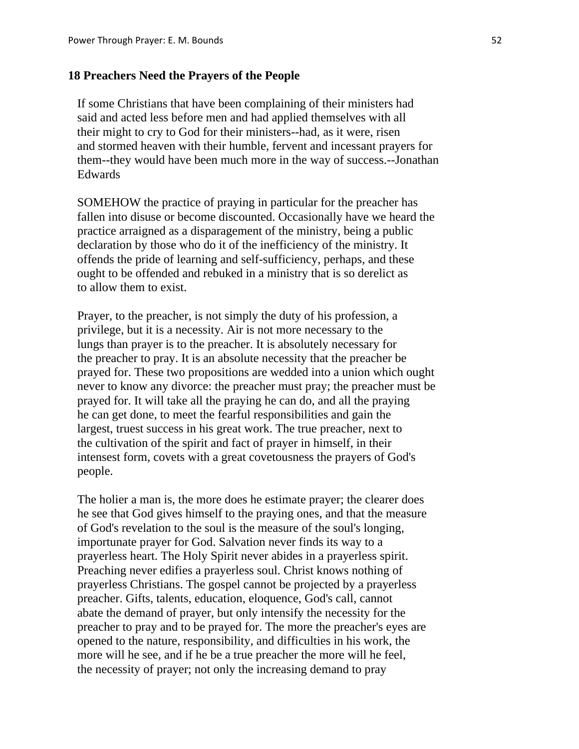#### **18 Preachers Need the Prayers of the People**

 If some Christians that have been complaining of their ministers had said and acted less before men and had applied themselves with all their might to cry to God for their ministers--had, as it were, risen and stormed heaven with their humble, fervent and incessant prayers for them--they would have been much more in the way of success.--Jonathan Edwards

 SOMEHOW the practice of praying in particular for the preacher has fallen into disuse or become discounted. Occasionally have we heard the practice arraigned as a disparagement of the ministry, being a public declaration by those who do it of the inefficiency of the ministry. It offends the pride of learning and self-sufficiency, perhaps, and these ought to be offended and rebuked in a ministry that is so derelict as to allow them to exist.

 Prayer, to the preacher, is not simply the duty of his profession, a privilege, but it is a necessity. Air is not more necessary to the lungs than prayer is to the preacher. It is absolutely necessary for the preacher to pray. It is an absolute necessity that the preacher be prayed for. These two propositions are wedded into a union which ought never to know any divorce: the preacher must pray; the preacher must be prayed for. It will take all the praying he can do, and all the praying he can get done, to meet the fearful responsibilities and gain the largest, truest success in his great work. The true preacher, next to the cultivation of the spirit and fact of prayer in himself, in their intensest form, covets with a great covetousness the prayers of God's people.

 The holier a man is, the more does he estimate prayer; the clearer does he see that God gives himself to the praying ones, and that the measure of God's revelation to the soul is the measure of the soul's longing, importunate prayer for God. Salvation never finds its way to a prayerless heart. The Holy Spirit never abides in a prayerless spirit. Preaching never edifies a prayerless soul. Christ knows nothing of prayerless Christians. The gospel cannot be projected by a prayerless preacher. Gifts, talents, education, eloquence, God's call, cannot abate the demand of prayer, but only intensify the necessity for the preacher to pray and to be prayed for. The more the preacher's eyes are opened to the nature, responsibility, and difficulties in his work, the more will he see, and if he be a true preacher the more will he feel, the necessity of prayer; not only the increasing demand to pray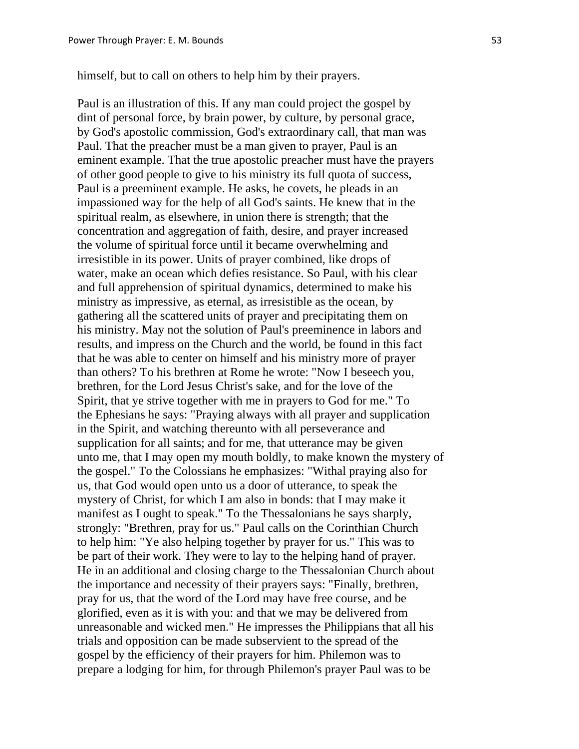himself, but to call on others to help him by their prayers.

 Paul is an illustration of this. If any man could project the gospel by dint of personal force, by brain power, by culture, by personal grace, by God's apostolic commission, God's extraordinary call, that man was Paul. That the preacher must be a man given to prayer, Paul is an eminent example. That the true apostolic preacher must have the prayers of other good people to give to his ministry its full quota of success, Paul is a preeminent example. He asks, he covets, he pleads in an impassioned way for the help of all God's saints. He knew that in the spiritual realm, as elsewhere, in union there is strength; that the concentration and aggregation of faith, desire, and prayer increased the volume of spiritual force until it became overwhelming and irresistible in its power. Units of prayer combined, like drops of water, make an ocean which defies resistance. So Paul, with his clear and full apprehension of spiritual dynamics, determined to make his ministry as impressive, as eternal, as irresistible as the ocean, by gathering all the scattered units of prayer and precipitating them on his ministry. May not the solution of Paul's preeminence in labors and results, and impress on the Church and the world, be found in this fact that he was able to center on himself and his ministry more of prayer than others? To his brethren at Rome he wrote: "Now I beseech you, brethren, for the Lord Jesus Christ's sake, and for the love of the Spirit, that ye strive together with me in prayers to God for me." To the Ephesians he says: "Praying always with all prayer and supplication in the Spirit, and watching thereunto with all perseverance and supplication for all saints; and for me, that utterance may be given unto me, that I may open my mouth boldly, to make known the mystery of the gospel." To the Colossians he emphasizes: "Withal praying also for us, that God would open unto us a door of utterance, to speak the mystery of Christ, for which I am also in bonds: that I may make it manifest as I ought to speak." To the Thessalonians he says sharply, strongly: "Brethren, pray for us." Paul calls on the Corinthian Church to help him: "Ye also helping together by prayer for us." This was to be part of their work. They were to lay to the helping hand of prayer. He in an additional and closing charge to the Thessalonian Church about the importance and necessity of their prayers says: "Finally, brethren, pray for us, that the word of the Lord may have free course, and be glorified, even as it is with you: and that we may be delivered from unreasonable and wicked men." He impresses the Philippians that all his trials and opposition can be made subservient to the spread of the gospel by the efficiency of their prayers for him. Philemon was to prepare a lodging for him, for through Philemon's prayer Paul was to be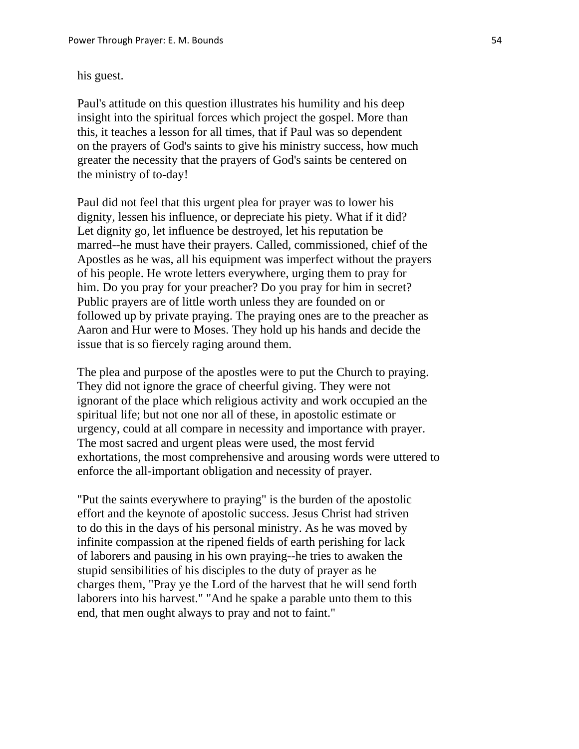### his guest.

 Paul's attitude on this question illustrates his humility and his deep insight into the spiritual forces which project the gospel. More than this, it teaches a lesson for all times, that if Paul was so dependent on the prayers of God's saints to give his ministry success, how much greater the necessity that the prayers of God's saints be centered on the ministry of to-day!

 Paul did not feel that this urgent plea for prayer was to lower his dignity, lessen his influence, or depreciate his piety. What if it did? Let dignity go, let influence be destroyed, let his reputation be marred--he must have their prayers. Called, commissioned, chief of the Apostles as he was, all his equipment was imperfect without the prayers of his people. He wrote letters everywhere, urging them to pray for him. Do you pray for your preacher? Do you pray for him in secret? Public prayers are of little worth unless they are founded on or followed up by private praying. The praying ones are to the preacher as Aaron and Hur were to Moses. They hold up his hands and decide the issue that is so fiercely raging around them.

 The plea and purpose of the apostles were to put the Church to praying. They did not ignore the grace of cheerful giving. They were not ignorant of the place which religious activity and work occupied an the spiritual life; but not one nor all of these, in apostolic estimate or urgency, could at all compare in necessity and importance with prayer. The most sacred and urgent pleas were used, the most fervid exhortations, the most comprehensive and arousing words were uttered to enforce the all-important obligation and necessity of prayer.

 "Put the saints everywhere to praying" is the burden of the apostolic effort and the keynote of apostolic success. Jesus Christ had striven to do this in the days of his personal ministry. As he was moved by infinite compassion at the ripened fields of earth perishing for lack of laborers and pausing in his own praying--he tries to awaken the stupid sensibilities of his disciples to the duty of prayer as he charges them, "Pray ye the Lord of the harvest that he will send forth laborers into his harvest." "And he spake a parable unto them to this end, that men ought always to pray and not to faint."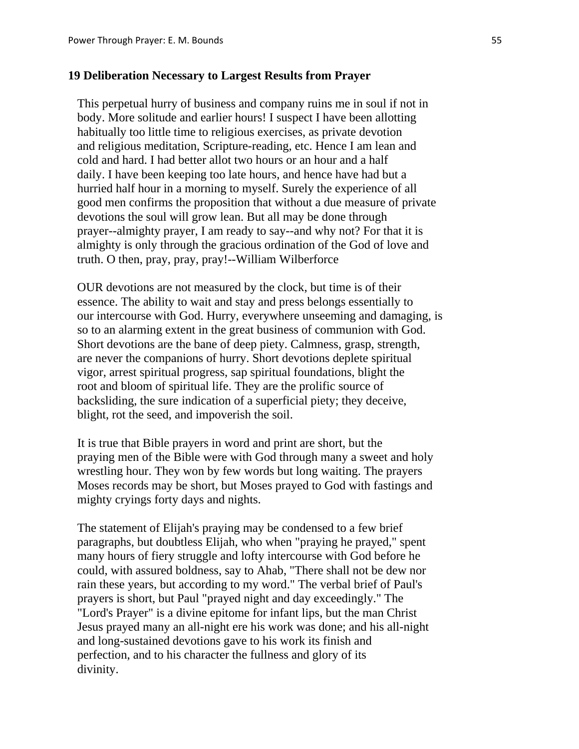# **19 Deliberation Necessary to Largest Results from Prayer**

 This perpetual hurry of business and company ruins me in soul if not in body. More solitude and earlier hours! I suspect I have been allotting habitually too little time to religious exercises, as private devotion and religious meditation, Scripture-reading, etc. Hence I am lean and cold and hard. I had better allot two hours or an hour and a half daily. I have been keeping too late hours, and hence have had but a hurried half hour in a morning to myself. Surely the experience of all good men confirms the proposition that without a due measure of private devotions the soul will grow lean. But all may be done through prayer--almighty prayer, I am ready to say--and why not? For that it is almighty is only through the gracious ordination of the God of love and truth. O then, pray, pray, pray!--William Wilberforce

 OUR devotions are not measured by the clock, but time is of their essence. The ability to wait and stay and press belongs essentially to our intercourse with God. Hurry, everywhere unseeming and damaging, is so to an alarming extent in the great business of communion with God. Short devotions are the bane of deep piety. Calmness, grasp, strength, are never the companions of hurry. Short devotions deplete spiritual vigor, arrest spiritual progress, sap spiritual foundations, blight the root and bloom of spiritual life. They are the prolific source of backsliding, the sure indication of a superficial piety; they deceive, blight, rot the seed, and impoverish the soil.

 It is true that Bible prayers in word and print are short, but the praying men of the Bible were with God through many a sweet and holy wrestling hour. They won by few words but long waiting. The prayers Moses records may be short, but Moses prayed to God with fastings and mighty cryings forty days and nights.

 The statement of Elijah's praying may be condensed to a few brief paragraphs, but doubtless Elijah, who when "praying he prayed," spent many hours of fiery struggle and lofty intercourse with God before he could, with assured boldness, say to Ahab, "There shall not be dew nor rain these years, but according to my word." The verbal brief of Paul's prayers is short, but Paul "prayed night and day exceedingly." The "Lord's Prayer" is a divine epitome for infant lips, but the man Christ Jesus prayed many an all-night ere his work was done; and his all-night and long-sustained devotions gave to his work its finish and perfection, and to his character the fullness and glory of its divinity.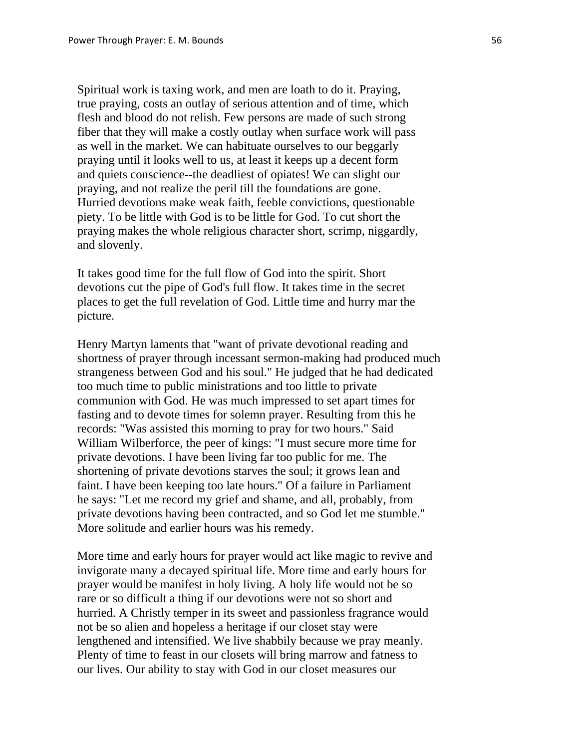Spiritual work is taxing work, and men are loath to do it. Praying, true praying, costs an outlay of serious attention and of time, which flesh and blood do not relish. Few persons are made of such strong fiber that they will make a costly outlay when surface work will pass as well in the market. We can habituate ourselves to our beggarly praying until it looks well to us, at least it keeps up a decent form and quiets conscience--the deadliest of opiates! We can slight our praying, and not realize the peril till the foundations are gone. Hurried devotions make weak faith, feeble convictions, questionable piety. To be little with God is to be little for God. To cut short the praying makes the whole religious character short, scrimp, niggardly, and slovenly.

 It takes good time for the full flow of God into the spirit. Short devotions cut the pipe of God's full flow. It takes time in the secret places to get the full revelation of God. Little time and hurry mar the picture.

 Henry Martyn laments that "want of private devotional reading and shortness of prayer through incessant sermon-making had produced much strangeness between God and his soul." He judged that he had dedicated too much time to public ministrations and too little to private communion with God. He was much impressed to set apart times for fasting and to devote times for solemn prayer. Resulting from this he records: "Was assisted this morning to pray for two hours." Said William Wilberforce, the peer of kings: "I must secure more time for private devotions. I have been living far too public for me. The shortening of private devotions starves the soul; it grows lean and faint. I have been keeping too late hours." Of a failure in Parliament he says: "Let me record my grief and shame, and all, probably, from private devotions having been contracted, and so God let me stumble." More solitude and earlier hours was his remedy.

 More time and early hours for prayer would act like magic to revive and invigorate many a decayed spiritual life. More time and early hours for prayer would be manifest in holy living. A holy life would not be so rare or so difficult a thing if our devotions were not so short and hurried. A Christly temper in its sweet and passionless fragrance would not be so alien and hopeless a heritage if our closet stay were lengthened and intensified. We live shabbily because we pray meanly. Plenty of time to feast in our closets will bring marrow and fatness to our lives. Our ability to stay with God in our closet measures our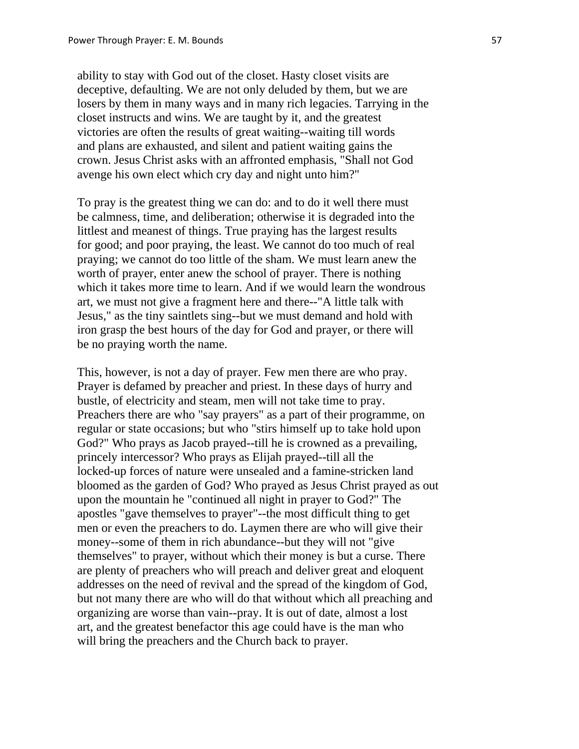ability to stay with God out of the closet. Hasty closet visits are deceptive, defaulting. We are not only deluded by them, but we are losers by them in many ways and in many rich legacies. Tarrying in the closet instructs and wins. We are taught by it, and the greatest victories are often the results of great waiting--waiting till words and plans are exhausted, and silent and patient waiting gains the crown. Jesus Christ asks with an affronted emphasis, "Shall not God avenge his own elect which cry day and night unto him?"

 To pray is the greatest thing we can do: and to do it well there must be calmness, time, and deliberation; otherwise it is degraded into the littlest and meanest of things. True praying has the largest results for good; and poor praying, the least. We cannot do too much of real praying; we cannot do too little of the sham. We must learn anew the worth of prayer, enter anew the school of prayer. There is nothing which it takes more time to learn. And if we would learn the wondrous art, we must not give a fragment here and there--"A little talk with Jesus," as the tiny saintlets sing--but we must demand and hold with iron grasp the best hours of the day for God and prayer, or there will be no praying worth the name.

 This, however, is not a day of prayer. Few men there are who pray. Prayer is defamed by preacher and priest. In these days of hurry and bustle, of electricity and steam, men will not take time to pray. Preachers there are who "say prayers" as a part of their programme, on regular or state occasions; but who "stirs himself up to take hold upon God?" Who prays as Jacob prayed--till he is crowned as a prevailing, princely intercessor? Who prays as Elijah prayed--till all the locked-up forces of nature were unsealed and a famine-stricken land bloomed as the garden of God? Who prayed as Jesus Christ prayed as out upon the mountain he "continued all night in prayer to God?" The apostles "gave themselves to prayer"--the most difficult thing to get men or even the preachers to do. Laymen there are who will give their money--some of them in rich abundance--but they will not "give themselves" to prayer, without which their money is but a curse. There are plenty of preachers who will preach and deliver great and eloquent addresses on the need of revival and the spread of the kingdom of God, but not many there are who will do that without which all preaching and organizing are worse than vain--pray. It is out of date, almost a lost art, and the greatest benefactor this age could have is the man who will bring the preachers and the Church back to prayer.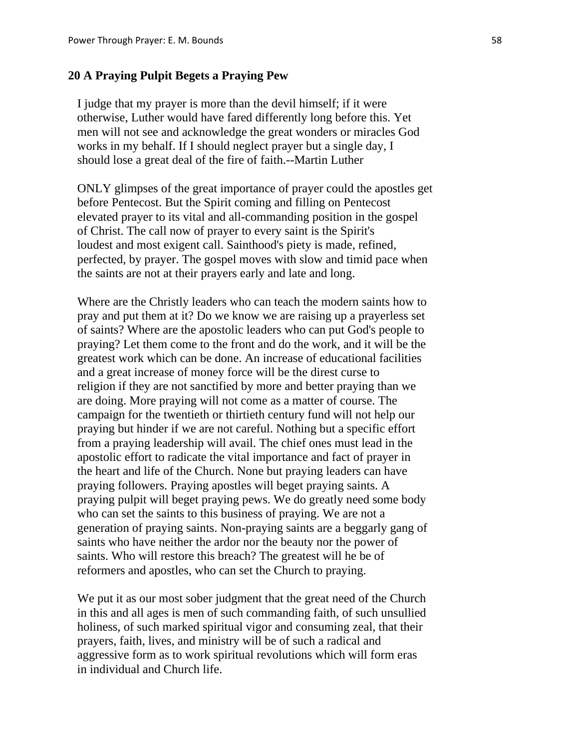# **20 A Praying Pulpit Begets a Praying Pew**

 I judge that my prayer is more than the devil himself; if it were otherwise, Luther would have fared differently long before this. Yet men will not see and acknowledge the great wonders or miracles God works in my behalf. If I should neglect prayer but a single day, I should lose a great deal of the fire of faith.--Martin Luther

 ONLY glimpses of the great importance of prayer could the apostles get before Pentecost. But the Spirit coming and filling on Pentecost elevated prayer to its vital and all-commanding position in the gospel of Christ. The call now of prayer to every saint is the Spirit's loudest and most exigent call. Sainthood's piety is made, refined, perfected, by prayer. The gospel moves with slow and timid pace when the saints are not at their prayers early and late and long.

 Where are the Christly leaders who can teach the modern saints how to pray and put them at it? Do we know we are raising up a prayerless set of saints? Where are the apostolic leaders who can put God's people to praying? Let them come to the front and do the work, and it will be the greatest work which can be done. An increase of educational facilities and a great increase of money force will be the direst curse to religion if they are not sanctified by more and better praying than we are doing. More praying will not come as a matter of course. The campaign for the twentieth or thirtieth century fund will not help our praying but hinder if we are not careful. Nothing but a specific effort from a praying leadership will avail. The chief ones must lead in the apostolic effort to radicate the vital importance and fact of prayer in the heart and life of the Church. None but praying leaders can have praying followers. Praying apostles will beget praying saints. A praying pulpit will beget praying pews. We do greatly need some body who can set the saints to this business of praying. We are not a generation of praying saints. Non-praying saints are a beggarly gang of saints who have neither the ardor nor the beauty nor the power of saints. Who will restore this breach? The greatest will he be of reformers and apostles, who can set the Church to praying.

We put it as our most sober judgment that the great need of the Church in this and all ages is men of such commanding faith, of such unsullied holiness, of such marked spiritual vigor and consuming zeal, that their prayers, faith, lives, and ministry will be of such a radical and aggressive form as to work spiritual revolutions which will form eras in individual and Church life.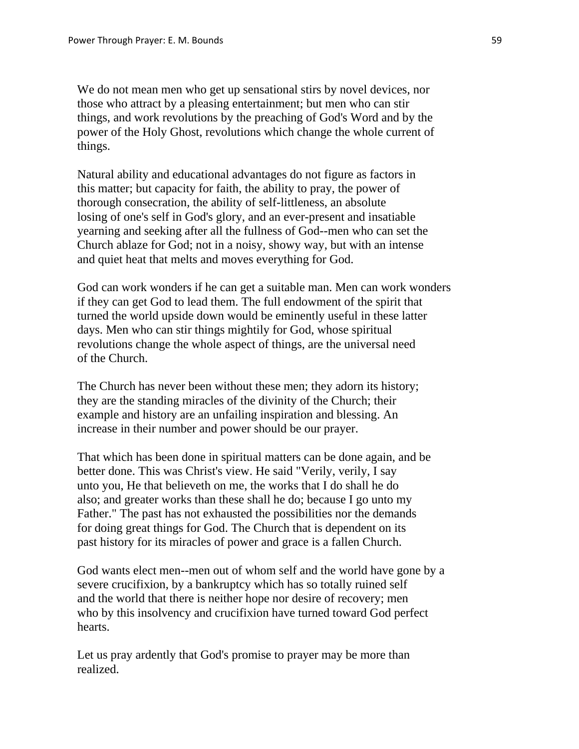We do not mean men who get up sensational stirs by novel devices, nor those who attract by a pleasing entertainment; but men who can stir things, and work revolutions by the preaching of God's Word and by the power of the Holy Ghost, revolutions which change the whole current of things.

 Natural ability and educational advantages do not figure as factors in this matter; but capacity for faith, the ability to pray, the power of thorough consecration, the ability of self-littleness, an absolute losing of one's self in God's glory, and an ever-present and insatiable yearning and seeking after all the fullness of God--men who can set the Church ablaze for God; not in a noisy, showy way, but with an intense and quiet heat that melts and moves everything for God.

 God can work wonders if he can get a suitable man. Men can work wonders if they can get God to lead them. The full endowment of the spirit that turned the world upside down would be eminently useful in these latter days. Men who can stir things mightily for God, whose spiritual revolutions change the whole aspect of things, are the universal need of the Church.

 The Church has never been without these men; they adorn its history; they are the standing miracles of the divinity of the Church; their example and history are an unfailing inspiration and blessing. An increase in their number and power should be our prayer.

 That which has been done in spiritual matters can be done again, and be better done. This was Christ's view. He said "Verily, verily, I say unto you, He that believeth on me, the works that I do shall he do also; and greater works than these shall he do; because I go unto my Father." The past has not exhausted the possibilities nor the demands for doing great things for God. The Church that is dependent on its past history for its miracles of power and grace is a fallen Church.

 God wants elect men--men out of whom self and the world have gone by a severe crucifixion, by a bankruptcy which has so totally ruined self and the world that there is neither hope nor desire of recovery; men who by this insolvency and crucifixion have turned toward God perfect hearts.

 Let us pray ardently that God's promise to prayer may be more than realized.